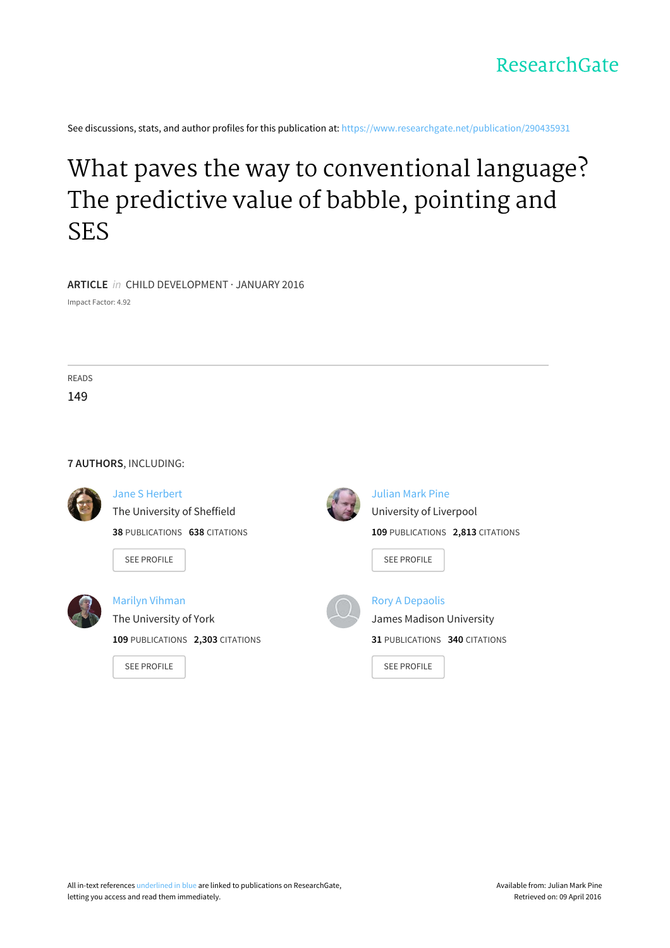

See discussions, stats, and author profiles for this publication at: [https://www.researchgate.net/publication/290435931](https://www.researchgate.net/publication/290435931_What_paves_the_way_to_conventional_language_The_predictive_value_of_babble_pointing_and_SES?enrichId=rgreq-2443db36-a843-4052-88c7-54897fb97819&enrichSource=Y292ZXJQYWdlOzI5MDQzNTkzMTtBUzozMTc4NzcwNDE3Mjk1NDRAMTQ1Mjc5OTIwMDM1MQ%3D%3D&el=1_x_2)

# What paves the way to [conventional](https://www.researchgate.net/publication/290435931_What_paves_the_way_to_conventional_language_The_predictive_value_of_babble_pointing_and_SES?enrichId=rgreq-2443db36-a843-4052-88c7-54897fb97819&enrichSource=Y292ZXJQYWdlOzI5MDQzNTkzMTtBUzozMTc4NzcwNDE3Mjk1NDRAMTQ1Mjc5OTIwMDM1MQ%3D%3D&el=1_x_3) language? The predictive value of babble, pointing and SES

**ARTICLE** in CHILD DEVELOPMENT · JANUARY 2016

Impact Factor: 4.92

READS

149

#### **7 AUTHORS**, INCLUDING:



## Jane S [Herbert](https://www.researchgate.net/profile/Jane_Herbert?enrichId=rgreq-2443db36-a843-4052-88c7-54897fb97819&enrichSource=Y292ZXJQYWdlOzI5MDQzNTkzMTtBUzozMTc4NzcwNDE3Mjk1NDRAMTQ1Mjc5OTIwMDM1MQ%3D%3D&el=1_x_5)

The [University](https://www.researchgate.net/institution/The_University_of_Sheffield?enrichId=rgreq-2443db36-a843-4052-88c7-54897fb97819&enrichSource=Y292ZXJQYWdlOzI5MDQzNTkzMTtBUzozMTc4NzcwNDE3Mjk1NDRAMTQ1Mjc5OTIwMDM1MQ%3D%3D&el=1_x_6) of Sheffield **38** PUBLICATIONS **638** CITATIONS

SEE [PROFILE](https://www.researchgate.net/profile/Jane_Herbert?enrichId=rgreq-2443db36-a843-4052-88c7-54897fb97819&enrichSource=Y292ZXJQYWdlOzI5MDQzNTkzMTtBUzozMTc4NzcwNDE3Mjk1NDRAMTQ1Mjc5OTIwMDM1MQ%3D%3D&el=1_x_7)



Marilyn [Vihman](https://www.researchgate.net/profile/Marilyn_Vihman?enrichId=rgreq-2443db36-a843-4052-88c7-54897fb97819&enrichSource=Y292ZXJQYWdlOzI5MDQzNTkzMTtBUzozMTc4NzcwNDE3Mjk1NDRAMTQ1Mjc5OTIwMDM1MQ%3D%3D&el=1_x_5)

### The [University](https://www.researchgate.net/institution/The_University_of_York?enrichId=rgreq-2443db36-a843-4052-88c7-54897fb97819&enrichSource=Y292ZXJQYWdlOzI5MDQzNTkzMTtBUzozMTc4NzcwNDE3Mjk1NDRAMTQ1Mjc5OTIwMDM1MQ%3D%3D&el=1_x_6) of York

**109** PUBLICATIONS **2,303** CITATIONS

SEE [PROFILE](https://www.researchgate.net/profile/Marilyn_Vihman?enrichId=rgreq-2443db36-a843-4052-88c7-54897fb97819&enrichSource=Y292ZXJQYWdlOzI5MDQzNTkzMTtBUzozMTc4NzcwNDE3Mjk1NDRAMTQ1Mjc5OTIwMDM1MQ%3D%3D&el=1_x_7)



#### [Julian](https://www.researchgate.net/profile/Julian_Pine?enrichId=rgreq-2443db36-a843-4052-88c7-54897fb97819&enrichSource=Y292ZXJQYWdlOzI5MDQzNTkzMTtBUzozMTc4NzcwNDE3Mjk1NDRAMTQ1Mjc5OTIwMDM1MQ%3D%3D&el=1_x_5) Mark Pine

[University](https://www.researchgate.net/institution/University_of_Liverpool?enrichId=rgreq-2443db36-a843-4052-88c7-54897fb97819&enrichSource=Y292ZXJQYWdlOzI5MDQzNTkzMTtBUzozMTc4NzcwNDE3Mjk1NDRAMTQ1Mjc5OTIwMDM1MQ%3D%3D&el=1_x_6) of Liverpool **109** PUBLICATIONS **2,813** CITATIONS

SEE [PROFILE](https://www.researchgate.net/profile/Julian_Pine?enrichId=rgreq-2443db36-a843-4052-88c7-54897fb97819&enrichSource=Y292ZXJQYWdlOzI5MDQzNTkzMTtBUzozMTc4NzcwNDE3Mjk1NDRAMTQ1Mjc5OTIwMDM1MQ%3D%3D&el=1_x_7)



# Rory A [Depaolis](https://www.researchgate.net/profile/Rory_Depaolis?enrichId=rgreq-2443db36-a843-4052-88c7-54897fb97819&enrichSource=Y292ZXJQYWdlOzI5MDQzNTkzMTtBUzozMTc4NzcwNDE3Mjk1NDRAMTQ1Mjc5OTIwMDM1MQ%3D%3D&el=1_x_5) James Madison [University](https://www.researchgate.net/institution/James_Madison_University?enrichId=rgreq-2443db36-a843-4052-88c7-54897fb97819&enrichSource=Y292ZXJQYWdlOzI5MDQzNTkzMTtBUzozMTc4NzcwNDE3Mjk1NDRAMTQ1Mjc5OTIwMDM1MQ%3D%3D&el=1_x_6) **31** PUBLICATIONS **340** CITATIONS

SEE [PROFILE](https://www.researchgate.net/profile/Rory_Depaolis?enrichId=rgreq-2443db36-a843-4052-88c7-54897fb97819&enrichSource=Y292ZXJQYWdlOzI5MDQzNTkzMTtBUzozMTc4NzcwNDE3Mjk1NDRAMTQ1Mjc5OTIwMDM1MQ%3D%3D&el=1_x_7)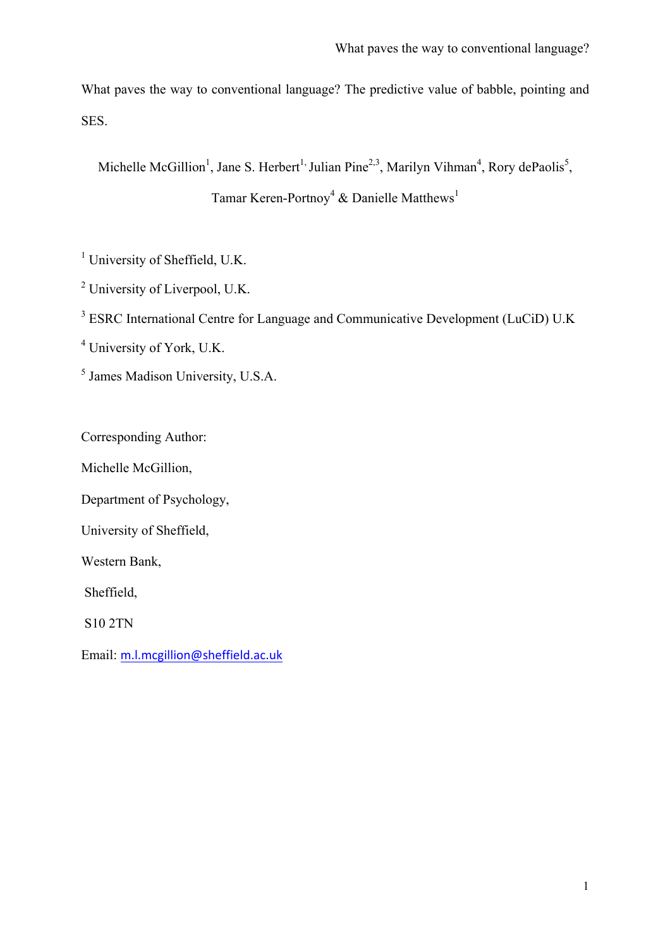What paves the way to conventional language? The predictive value of babble, pointing and SES.

Michelle McGillion<sup>1</sup>, Jane S. Herbert<sup>1,</sup> Julian Pine<sup>2,3</sup>, Marilyn Vihman<sup>4</sup>, Rory dePaolis<sup>5</sup>,

Tamar Keren-Portnoy<sup>4</sup> & Danielle Matthews<sup>1</sup>

<sup>1</sup> University of Sheffield, U.K.

<sup>2</sup> University of Liverpool, U.K.

<sup>3</sup> ESRC International Centre for Language and Communicative Development (LuCiD) U.K

<sup>4</sup> University of York, U.K.

<sup>5</sup> James Madison University, U.S.A.

Corresponding Author:

Michelle McGillion,

Department of Psychology,

University of Sheffield,

Western Bank,

Sheffield,

S10 2TN

Email: m.l.mcgillion@sheffield.ac.uk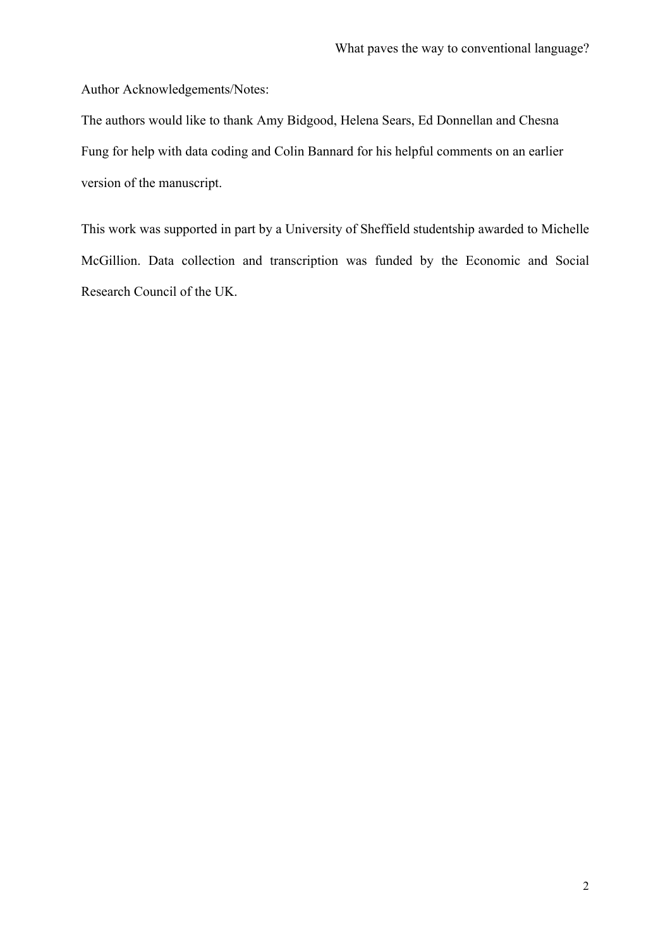Author Acknowledgements/Notes:

The authors would like to thank Amy Bidgood, Helena Sears, Ed Donnellan and Chesna Fung for help with data coding and Colin Bannard for his helpful comments on an earlier version of the manuscript.

This work was supported in part by a University of Sheffield studentship awarded to Michelle McGillion. Data collection and transcription was funded by the Economic and Social Research Council of the UK.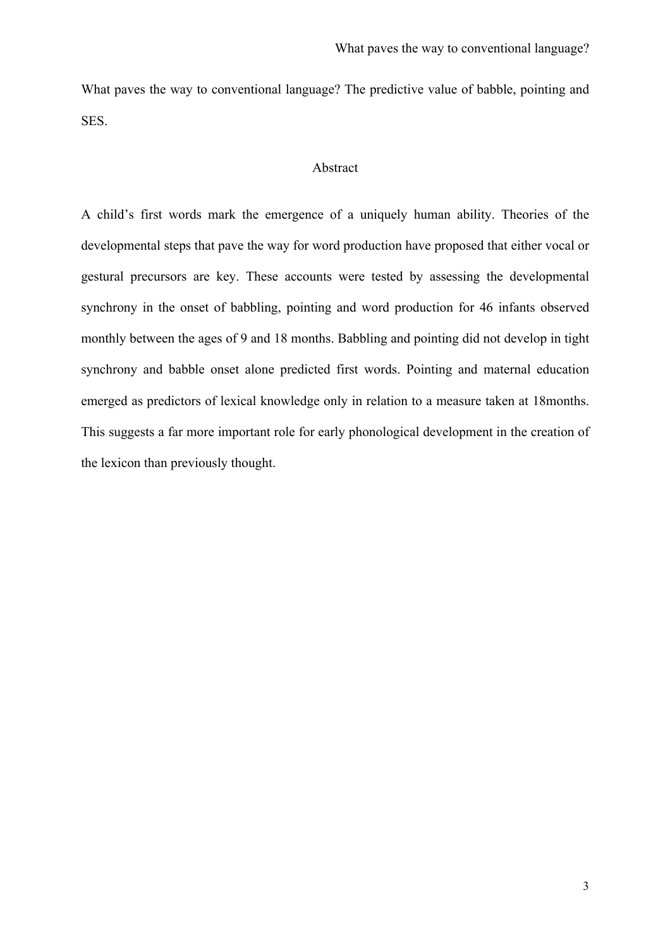What paves the way to conventional language? The predictive value of babble, pointing and SES.

## Abstract

A child's first words mark the emergence of a uniquely human ability. Theories of the developmental steps that pave the way for word production have proposed that either vocal or gestural precursors are key. These accounts were tested by assessing the developmental synchrony in the onset of babbling, pointing and word production for 46 infants observed monthly between the ages of 9 and 18 months. Babbling and pointing did not develop in tight synchrony and babble onset alone predicted first words. Pointing and maternal education emerged as predictors of lexical knowledge only in relation to a measure taken at 18months. This suggests a far more important role for early phonological development in the creation of the lexicon than previously thought.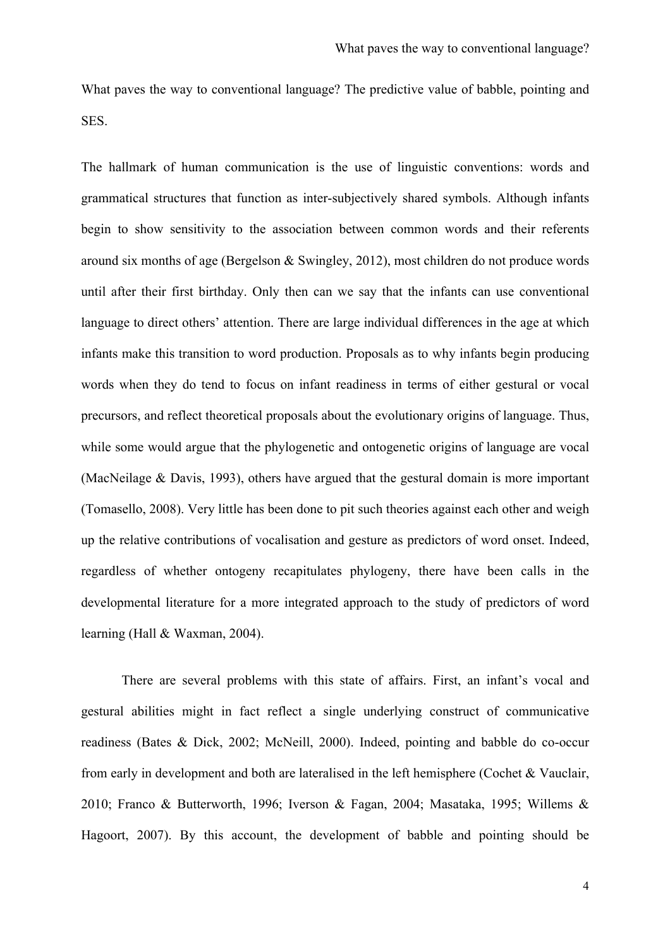What paves the way to conventional language? The predictive value of babble, pointing and **SES** 

The hallmark of human communication is the use of linguistic conventions: words and grammatical structures that function as inter-subjectively shared symbols. Although infants begin to show sensitivity to the association between common words and their referents around six months of age (Bergelson & Swingley, 2012), most children do not produce words until after their first birthday. Only then can we say that the infants can use conventional language to direct others' attention. There are large individual differences in the age at which infants make this transition to word production. Proposals as to why infants begin producing words when they do tend to focus on infant readiness in terms of either gestural or vocal precursors, and reflect theoretical proposals about the evolutionary origins of language. Thus, while some would argue that the phylogenetic and ontogenetic origins of language are vocal (MacNeilage & Davis, 1993), others have argued that the gestural domain is more important (Tomasello, 2008). Very little has been done to pit such theories against each other and weigh up the relative contributions of vocalisation and gesture as predictors of word onset. Indeed, regardless of whether ontogeny recapitulates phylogeny, there have been calls in the developmental literature for a more integrated approach to the study of predictors of word learning (Hall & Waxman, 2004).

There are several problems with this state of affairs. First, an infant's vocal and gestural abilities might in fact reflect a single underlying construct of communicative readiness (Bates & Dick, 2002; McNeill, 2000). Indeed, pointing and babble do co-occur from early in development and both are lateralised in the left hemisphere (Cochet & Vauclair, 2010; Franco & Butterworth, 1996; Iverson & Fagan, 2004; Masataka, 1995; Willems & Hagoort, 2007). By this account, the development of babble and pointing should be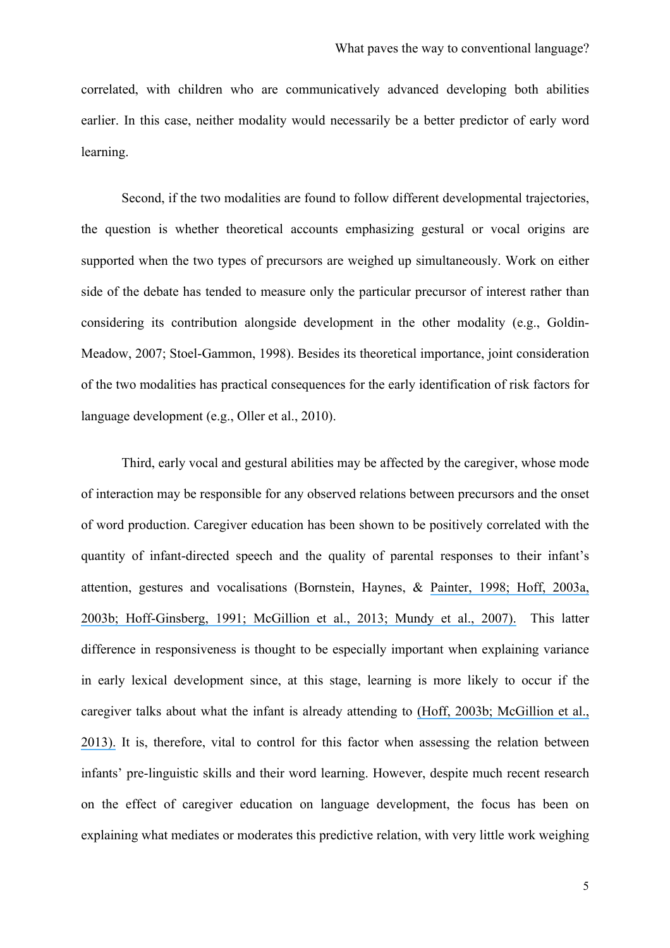correlated, with children who are communicatively advanced developing both abilities earlier. In this case, neither modality would necessarily be a better predictor of early word learning.

Second, if the two modalities are found to follow different developmental trajectories, the question is whether theoretical accounts emphasizing gestural or vocal origins are supported when the two types of precursors are weighed up simultaneously. Work on either side of the debate has tended to measure only the particular precursor of interest rather than considering its contribution alongside development in the other modality (e.g., Goldin-Meadow, 2007; Stoel-Gammon, 1998). Besides its theoretical importance, joint consideration of the two modalities has practical consequences for the early identification of risk factors for language development (e.g., Oller et al., 2010).

Third, early vocal and gestural abilities may be affected by the caregiver, whose mode of interaction may be responsible for any observed relations between precursors and the onset of word production. Caregiver education has been shown to be positively correlated with the quantity of infant-directed speech and the quality of parental responses to their infant's attention, gestures and vocalisations (Bornstein, Haynes, & [Painter, 1998; Hoff, 2003a,](https://www.researchgate.net/publication/227843764_Mother-Child_Conversation_in_Different_Social_Classes_and_Communicative_Settings?el=1_x_8&enrichId=rgreq-2443db36-a843-4052-88c7-54897fb97819&enrichSource=Y292ZXJQYWdlOzI5MDQzNTkzMTtBUzozMTc4NzcwNDE3Mjk1NDRAMTQ1Mjc5OTIwMDM1MQ==) [2003b; Hoff-Ginsberg, 1991; McGillion et al., 2013; Mundy et al., 2007\).](https://www.researchgate.net/publication/227843764_Mother-Child_Conversation_in_Different_Social_Classes_and_Communicative_Settings?el=1_x_8&enrichId=rgreq-2443db36-a843-4052-88c7-54897fb97819&enrichSource=Y292ZXJQYWdlOzI5MDQzNTkzMTtBUzozMTc4NzcwNDE3Mjk1NDRAMTQ1Mjc5OTIwMDM1MQ==) This latter difference in responsiveness is thought to be especially important when explaining variance in early lexical development since, at this stage, learning is more likely to occur if the caregiver talks about what the infant is already attending to [\(Hoff, 2003b; McGillion et al.,](https://www.researchgate.net/publication/9055945_The_Specificity_of_Environmental_Influence_Socioeconomic_Status_Affects_Early_Vocabulary_Development_Via_Maternal_Speech?el=1_x_8&enrichId=rgreq-2443db36-a843-4052-88c7-54897fb97819&enrichSource=Y292ZXJQYWdlOzI5MDQzNTkzMTtBUzozMTc4NzcwNDE3Mjk1NDRAMTQ1Mjc5OTIwMDM1MQ==) [2013\).](https://www.researchgate.net/publication/9055945_The_Specificity_of_Environmental_Influence_Socioeconomic_Status_Affects_Early_Vocabulary_Development_Via_Maternal_Speech?el=1_x_8&enrichId=rgreq-2443db36-a843-4052-88c7-54897fb97819&enrichSource=Y292ZXJQYWdlOzI5MDQzNTkzMTtBUzozMTc4NzcwNDE3Mjk1NDRAMTQ1Mjc5OTIwMDM1MQ==) It is, therefore, vital to control for this factor when assessing the relation between infants' pre-linguistic skills and their word learning. However, despite much recent research on the effect of caregiver education on language development, the focus has been on explaining what mediates or moderates this predictive relation, with very little work weighing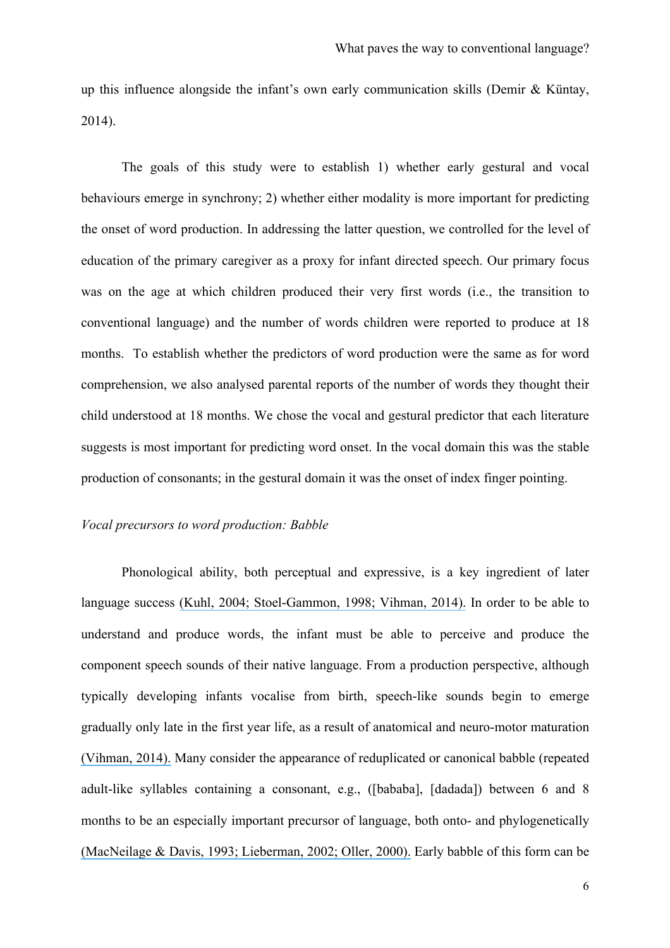up this influence alongside the infant's own early communication skills (Demir & Küntay, 2014).

The goals of this study were to establish 1) whether early gestural and vocal behaviours emerge in synchrony; 2) whether either modality is more important for predicting the onset of word production. In addressing the latter question, we controlled for the level of education of the primary caregiver as a proxy for infant directed speech. Our primary focus was on the age at which children produced their very first words (i.e., the transition to conventional language) and the number of words children were reported to produce at 18 months. To establish whether the predictors of word production were the same as for word comprehension, we also analysed parental reports of the number of words they thought their child understood at 18 months. We chose the vocal and gestural predictor that each literature suggests is most important for predicting word onset. In the vocal domain this was the stable production of consonants; in the gestural domain it was the onset of index finger pointing.

## *Vocal precursors to word production: Babble*

Phonological ability, both perceptual and expressive, is a key ingredient of later language success [\(Kuhl, 2004; Stoel-Gammon, 1998; Vihman, 2014\).](https://www.researchgate.net/publication/208034262_Phonological_Development?el=1_x_8&enrichId=rgreq-2443db36-a843-4052-88c7-54897fb97819&enrichSource=Y292ZXJQYWdlOzI5MDQzNTkzMTtBUzozMTc4NzcwNDE3Mjk1NDRAMTQ1Mjc5OTIwMDM1MQ==) In order to be able to understand and produce words, the infant must be able to perceive and produce the component speech sounds of their native language. From a production perspective, although typically developing infants vocalise from birth, speech-like sounds begin to emerge gradually only late in the first year life, as a result of anatomical and neuro-motor maturation [\(Vihman, 2014\).](https://www.researchgate.net/publication/208034262_Phonological_Development?el=1_x_8&enrichId=rgreq-2443db36-a843-4052-88c7-54897fb97819&enrichSource=Y292ZXJQYWdlOzI5MDQzNTkzMTtBUzozMTc4NzcwNDE3Mjk1NDRAMTQ1Mjc5OTIwMDM1MQ==) Many consider the appearance of reduplicated or canonical babble (repeated adult-like syllables containing a consonant, e.g., ([bababa], [dadada]) between 6 and 8 months to be an especially important precursor of language, both onto- and phylogenetically [\(MacNeilage & Davis, 1993; Lieberman, 2002; Oller, 2000\).](https://www.researchgate.net/publication/12079829_Human_Language_and_Our_Reptilian_Brain_The_Subcortical_Bases_of_Speech_Syntax_and_Thought?el=1_x_8&enrichId=rgreq-2443db36-a843-4052-88c7-54897fb97819&enrichSource=Y292ZXJQYWdlOzI5MDQzNTkzMTtBUzozMTc4NzcwNDE3Mjk1NDRAMTQ1Mjc5OTIwMDM1MQ==) Early babble of this form can be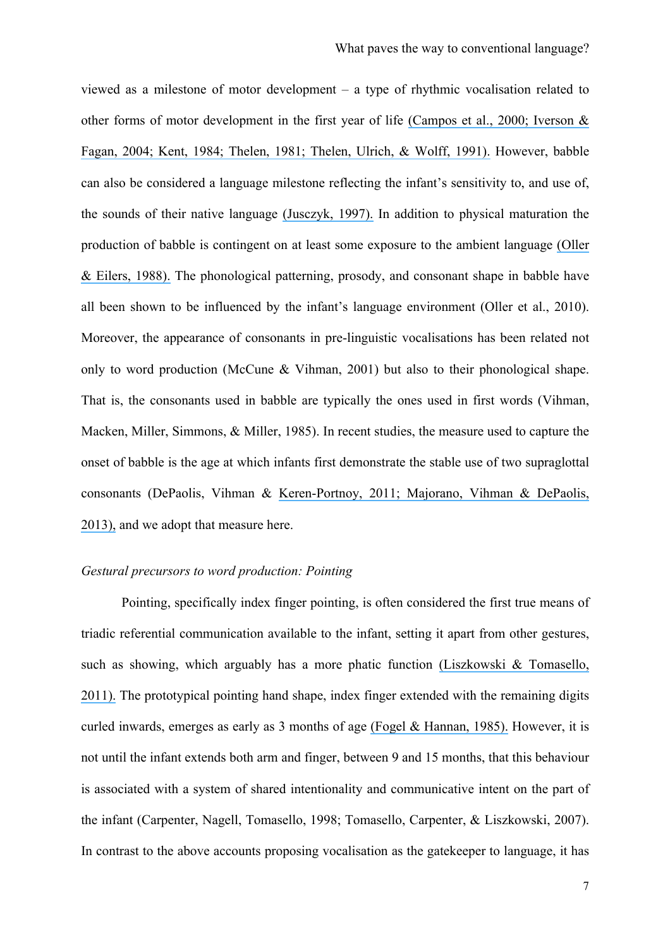viewed as a milestone of motor development – a type of rhythmic vocalisation related to other forms of motor development in the first year of life [\(Campos et al., 2000; Iverson &](https://www.researchgate.net/publication/8448455_Infant_Vocal-Motor_Coordination_Precursor_to_the_Gesture-Speech_System?el=1_x_8&enrichId=rgreq-2443db36-a843-4052-88c7-54897fb97819&enrichSource=Y292ZXJQYWdlOzI5MDQzNTkzMTtBUzozMTc4NzcwNDE3Mjk1NDRAMTQ1Mjc5OTIwMDM1MQ==) [Fagan, 2004; Kent, 1984; Thelen, 1981; Thelen, Ulrich, & Wolff, 1991\).](https://www.researchgate.net/publication/8448455_Infant_Vocal-Motor_Coordination_Precursor_to_the_Gesture-Speech_System?el=1_x_8&enrichId=rgreq-2443db36-a843-4052-88c7-54897fb97819&enrichSource=Y292ZXJQYWdlOzI5MDQzNTkzMTtBUzozMTc4NzcwNDE3Mjk1NDRAMTQ1Mjc5OTIwMDM1MQ==) However, babble can also be considered a language milestone reflecting the infant's sensitivity to, and use of, the sounds of their native language [\(Jusczyk, 1997\).](https://www.researchgate.net/publication/243662755_The_Discovery_of_Spoken_Language?el=1_x_8&enrichId=rgreq-2443db36-a843-4052-88c7-54897fb97819&enrichSource=Y292ZXJQYWdlOzI5MDQzNTkzMTtBUzozMTc4NzcwNDE3Mjk1NDRAMTQ1Mjc5OTIwMDM1MQ==) In addition to physical maturation the production of babble is contingent on at least some exposure to the ambient language [\(Oller](https://www.researchgate.net/publication/19796182_The_Role_of_Audition_in_Infant_Babbling?el=1_x_8&enrichId=rgreq-2443db36-a843-4052-88c7-54897fb97819&enrichSource=Y292ZXJQYWdlOzI5MDQzNTkzMTtBUzozMTc4NzcwNDE3Mjk1NDRAMTQ1Mjc5OTIwMDM1MQ==) [& Eilers, 1988\).](https://www.researchgate.net/publication/19796182_The_Role_of_Audition_in_Infant_Babbling?el=1_x_8&enrichId=rgreq-2443db36-a843-4052-88c7-54897fb97819&enrichSource=Y292ZXJQYWdlOzI5MDQzNTkzMTtBUzozMTc4NzcwNDE3Mjk1NDRAMTQ1Mjc5OTIwMDM1MQ==) The phonological patterning, prosody, and consonant shape in babble have all been shown to be influenced by the infant's language environment (Oller et al., 2010). Moreover, the appearance of consonants in pre-linguistic vocalisations has been related not only to word production (McCune & Vihman, 2001) but also to their phonological shape. That is, the consonants used in babble are typically the ones used in first words (Vihman, Macken, Miller, Simmons, & Miller, 1985). In recent studies, the measure used to capture the onset of babble is the age at which infants first demonstrate the stable use of two supraglottal consonants (DePaolis, Vihman & [Keren-Portnoy, 2011; Majorano, Vihman & DePaolis,](https://www.researchgate.net/publication/255176626_The_influence_of_babbling_patterns_on_the_processing_of_speech?el=1_x_8&enrichId=rgreq-2443db36-a843-4052-88c7-54897fb97819&enrichSource=Y292ZXJQYWdlOzI5MDQzNTkzMTtBUzozMTc4NzcwNDE3Mjk1NDRAMTQ1Mjc5OTIwMDM1MQ==) [2013\),](https://www.researchgate.net/publication/255176626_The_influence_of_babbling_patterns_on_the_processing_of_speech?el=1_x_8&enrichId=rgreq-2443db36-a843-4052-88c7-54897fb97819&enrichSource=Y292ZXJQYWdlOzI5MDQzNTkzMTtBUzozMTc4NzcwNDE3Mjk1NDRAMTQ1Mjc5OTIwMDM1MQ==) and we adopt that measure here.

#### *Gestural precursors to word production: Pointing*

Pointing, specifically index finger pointing, is often considered the first true means of triadic referential communication available to the infant, setting it apart from other gestures, such as showing, which arguably has a more phatic function [\(Liszkowski & Tomasello,](https://www.researchgate.net/publication/251599799_Individual_differences_in_social_cognitive_and_morphological_aspects_of_infant_pointing?el=1_x_8&enrichId=rgreq-2443db36-a843-4052-88c7-54897fb97819&enrichSource=Y292ZXJQYWdlOzI5MDQzNTkzMTtBUzozMTc4NzcwNDE3Mjk1NDRAMTQ1Mjc5OTIwMDM1MQ==) [2011\).](https://www.researchgate.net/publication/251599799_Individual_differences_in_social_cognitive_and_morphological_aspects_of_infant_pointing?el=1_x_8&enrichId=rgreq-2443db36-a843-4052-88c7-54897fb97819&enrichSource=Y292ZXJQYWdlOzI5MDQzNTkzMTtBUzozMTc4NzcwNDE3Mjk1NDRAMTQ1Mjc5OTIwMDM1MQ==) The prototypical pointing hand shape, index finger extended with the remaining digits curled inwards, emerges as early as 3 months of age (Fogel  $\&$  Hannan, 1985). However, it is not until the infant extends both arm and finger, between 9 and 15 months, that this behaviour is associated with a system of shared intentionality and communicative intent on the part of the infant (Carpenter, Nagell, Tomasello, 1998; Tomasello, Carpenter, & Liszkowski, 2007). In contrast to the above accounts proposing vocalisation as the gatekeeper to language, it has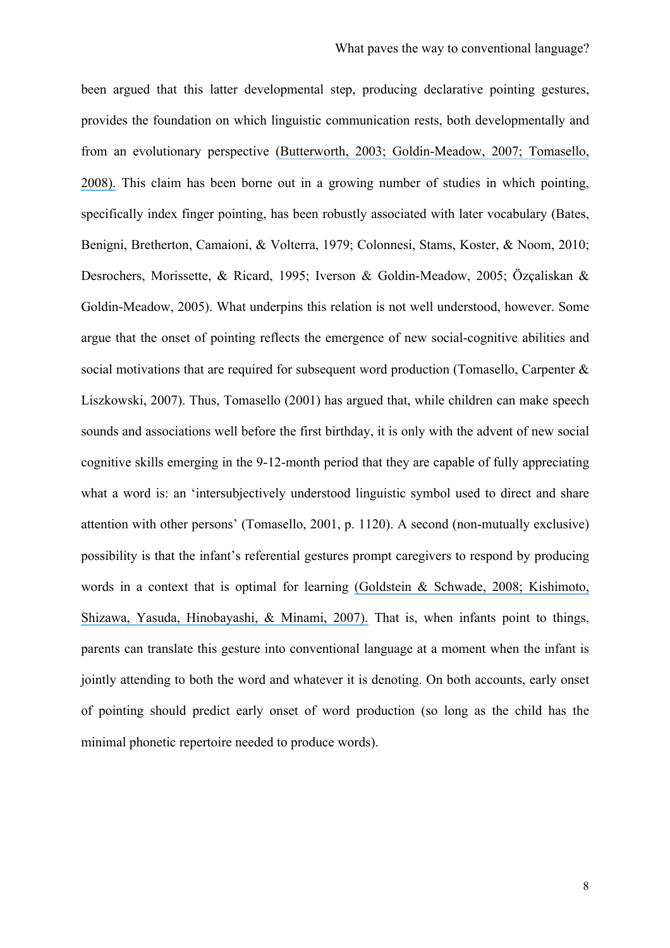been argued that this latter developmental step, producing declarative pointing gestures, provides the foundation on which linguistic communication rests, both developmentally and from an evolutionary perspective [\(Butterworth, 2003; Goldin-Meadow, 2007; Tomasello,](https://www.researchgate.net/publication/6315649_Pointing_Sets_the_Stage_for_Learning_Languageand_Creating_Language?el=1_x_8&enrichId=rgreq-2443db36-a843-4052-88c7-54897fb97819&enrichSource=Y292ZXJQYWdlOzI5MDQzNTkzMTtBUzozMTc4NzcwNDE3Mjk1NDRAMTQ1Mjc5OTIwMDM1MQ==) [2008\).](https://www.researchgate.net/publication/6315649_Pointing_Sets_the_Stage_for_Learning_Languageand_Creating_Language?el=1_x_8&enrichId=rgreq-2443db36-a843-4052-88c7-54897fb97819&enrichSource=Y292ZXJQYWdlOzI5MDQzNTkzMTtBUzozMTc4NzcwNDE3Mjk1NDRAMTQ1Mjc5OTIwMDM1MQ==) This claim has been borne out in a growing number of studies in which pointing, specifically index finger pointing, has been robustly associated with later vocabulary (Bates, Benigni, Bretherton, Camaioni, & Volterra, 1979; Colonnesi, Stams, Koster, & Noom, 2010; Desrochers, Morissette, & Ricard, 1995; Iverson & Goldin-Meadow, 2005; Özçaliskan & Goldin-Meadow, 2005). What underpins this relation is not well understood, however. Some argue that the onset of pointing reflects the emergence of new social-cognitive abilities and social motivations that are required for subsequent word production (Tomasello, Carpenter & Liszkowski, 2007). Thus, Tomasello (2001) has argued that, while children can make speech sounds and associations well before the first birthday, it is only with the advent of new social cognitive skills emerging in the 9-12-month period that they are capable of fully appreciating what a word is: an 'intersubjectively understood linguistic symbol used to direct and share attention with other persons' (Tomasello, 2001, p. 1120). A second (non-mutually exclusive) possibility is that the infant's referential gestures prompt caregivers to respond by producing words in a context that is optimal for learning [\(Goldstein & Schwade, 2008; Kishimoto,](https://www.researchgate.net/publication/5386101_Social_feedback_to_infants) [Shizawa, Yasuda, Hinobayashi, & Minami, 2007\).](https://www.researchgate.net/publication/5386101_Social_feedback_to_infants) That is, when infants point to things, parents can translate this gesture into conventional language at a moment when the infant is jointly attending to both the word and whatever it is denoting. On both accounts, early onset of pointing should predict early onset of word production (so long as the child has the minimal phonetic repertoire needed to produce words).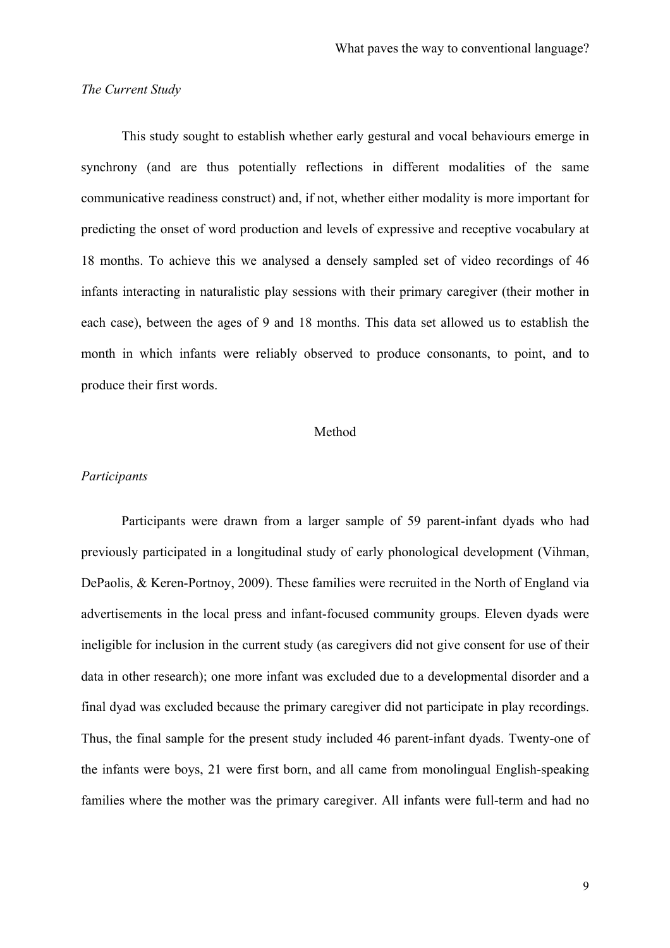### *The Current Study*

This study sought to establish whether early gestural and vocal behaviours emerge in synchrony (and are thus potentially reflections in different modalities of the same communicative readiness construct) and, if not, whether either modality is more important for predicting the onset of word production and levels of expressive and receptive vocabulary at 18 months. To achieve this we analysed a densely sampled set of video recordings of 46 infants interacting in naturalistic play sessions with their primary caregiver (their mother in each case), between the ages of 9 and 18 months. This data set allowed us to establish the month in which infants were reliably observed to produce consonants, to point, and to produce their first words.

## Method

#### *Participants*

Participants were drawn from a larger sample of 59 parent-infant dyads who had previously participated in a longitudinal study of early phonological development (Vihman, DePaolis, & Keren-Portnoy, 2009). These families were recruited in the North of England via advertisements in the local press and infant-focused community groups. Eleven dyads were ineligible for inclusion in the current study (as caregivers did not give consent for use of their data in other research); one more infant was excluded due to a developmental disorder and a final dyad was excluded because the primary caregiver did not participate in play recordings. Thus, the final sample for the present study included 46 parent-infant dyads. Twenty-one of the infants were boys, 21 were first born, and all came from monolingual English-speaking families where the mother was the primary caregiver. All infants were full-term and had no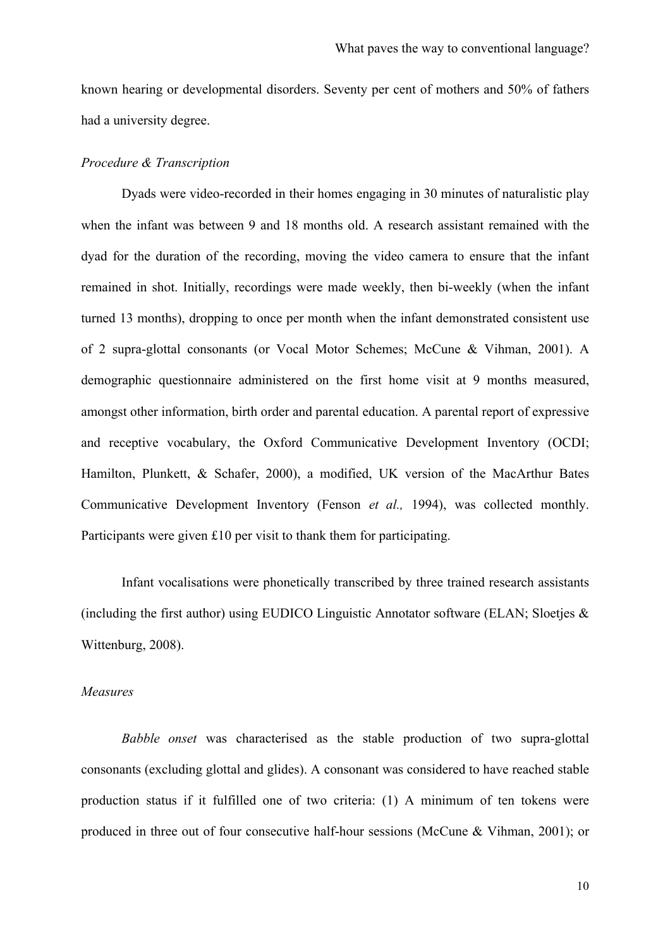known hearing or developmental disorders. Seventy per cent of mothers and 50% of fathers had a university degree.

## *Procedure & Transcription*

Dyads were video-recorded in their homes engaging in 30 minutes of naturalistic play when the infant was between 9 and 18 months old. A research assistant remained with the dyad for the duration of the recording, moving the video camera to ensure that the infant remained in shot. Initially, recordings were made weekly, then bi-weekly (when the infant turned 13 months), dropping to once per month when the infant demonstrated consistent use of 2 supra-glottal consonants (or Vocal Motor Schemes; McCune & Vihman, 2001). A demographic questionnaire administered on the first home visit at 9 months measured, amongst other information, birth order and parental education. A parental report of expressive and receptive vocabulary, the Oxford Communicative Development Inventory (OCDI; Hamilton, Plunkett, & Schafer, 2000), a modified, UK version of the MacArthur Bates Communicative Development Inventory (Fenson *et al.,* 1994), was collected monthly. Participants were given £10 per visit to thank them for participating.

Infant vocalisations were phonetically transcribed by three trained research assistants (including the first author) using EUDICO Linguistic Annotator software (ELAN; Sloetjes  $\&$ Wittenburg, 2008).

#### *Measures*

*Babble onset* was characterised as the stable production of two supra-glottal consonants (excluding glottal and glides). A consonant was considered to have reached stable production status if it fulfilled one of two criteria: (1) A minimum of ten tokens were produced in three out of four consecutive half-hour sessions (McCune & Vihman, 2001); or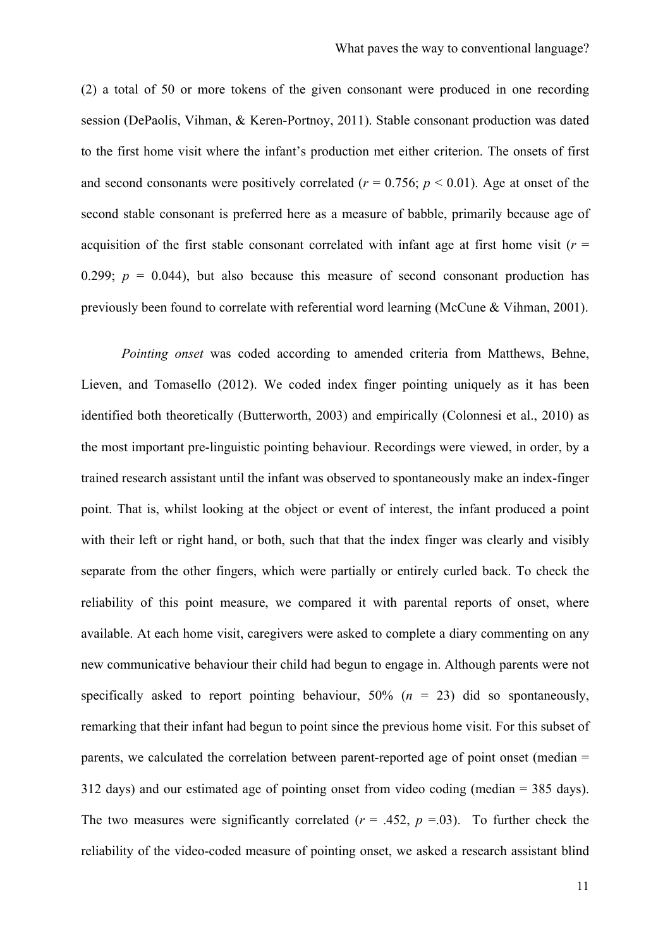(2) a total of 50 or more tokens of the given consonant were produced in one recording session (DePaolis, Vihman, & Keren-Portnoy, 2011). Stable consonant production was dated to the first home visit where the infant's production met either criterion. The onsets of first and second consonants were positively correlated ( $r = 0.756$ ;  $p \le 0.01$ ). Age at onset of the second stable consonant is preferred here as a measure of babble, primarily because age of acquisition of the first stable consonant correlated with infant age at first home visit ( $r =$ 0.299;  $p = 0.044$ ), but also because this measure of second consonant production has previously been found to correlate with referential word learning (McCune & Vihman, 2001).

*Pointing onset* was coded according to amended criteria from Matthews, Behne, Lieven, and Tomasello (2012). We coded index finger pointing uniquely as it has been identified both theoretically (Butterworth, 2003) and empirically (Colonnesi et al., 2010) as the most important pre-linguistic pointing behaviour. Recordings were viewed, in order, by a trained research assistant until the infant was observed to spontaneously make an index-finger point. That is, whilst looking at the object or event of interest, the infant produced a point with their left or right hand, or both, such that that the index finger was clearly and visibly separate from the other fingers, which were partially or entirely curled back. To check the reliability of this point measure, we compared it with parental reports of onset, where available. At each home visit, caregivers were asked to complete a diary commenting on any new communicative behaviour their child had begun to engage in. Although parents were not specifically asked to report pointing behaviour, 50% (*n* = 23) did so spontaneously, remarking that their infant had begun to point since the previous home visit. For this subset of parents, we calculated the correlation between parent-reported age of point onset (median = 312 days) and our estimated age of pointing onset from video coding (median = 385 days). The two measures were significantly correlated  $(r = .452, p = .03)$ . To further check the reliability of the video-coded measure of pointing onset, we asked a research assistant blind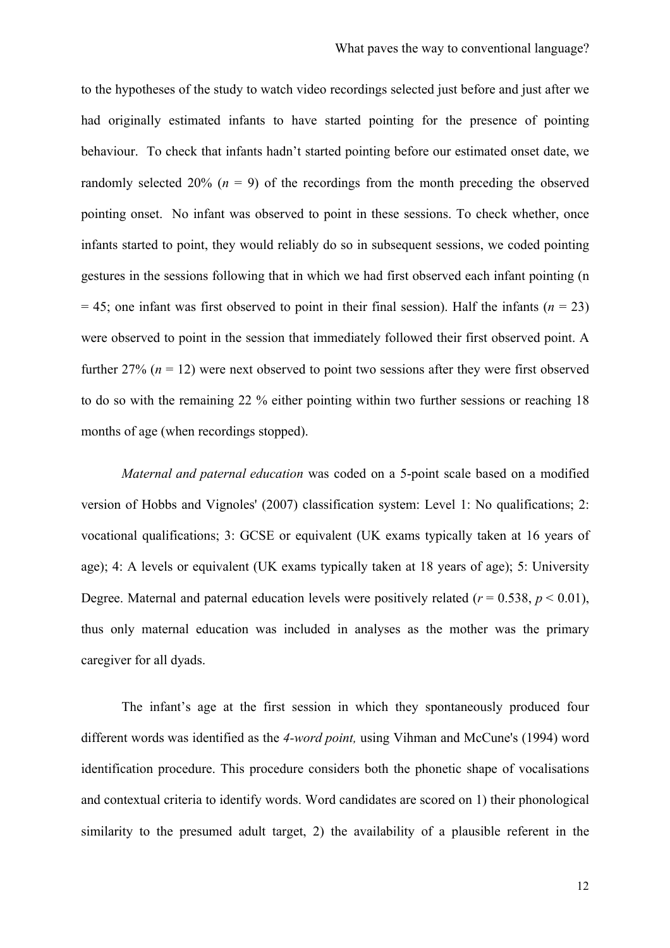to the hypotheses of the study to watch video recordings selected just before and just after we had originally estimated infants to have started pointing for the presence of pointing behaviour. To check that infants hadn't started pointing before our estimated onset date, we randomly selected 20% ( $n = 9$ ) of the recordings from the month preceding the observed pointing onset. No infant was observed to point in these sessions. To check whether, once infants started to point, they would reliably do so in subsequent sessions, we coded pointing gestures in the sessions following that in which we had first observed each infant pointing (n  $= 45$ ; one infant was first observed to point in their final session). Half the infants ( $n = 23$ ) were observed to point in the session that immediately followed their first observed point. A further  $27\%$  ( $n = 12$ ) were next observed to point two sessions after they were first observed to do so with the remaining 22 % either pointing within two further sessions or reaching 18 months of age (when recordings stopped).

*Maternal and paternal education* was coded on a 5-point scale based on a modified version of Hobbs and Vignoles' (2007) classification system: Level 1: No qualifications; 2: vocational qualifications; 3: GCSE or equivalent (UK exams typically taken at 16 years of age); 4: A levels or equivalent (UK exams typically taken at 18 years of age); 5: University Degree. Maternal and paternal education levels were positively related ( $r = 0.538$ ,  $p < 0.01$ ). thus only maternal education was included in analyses as the mother was the primary caregiver for all dyads.

The infant's age at the first session in which they spontaneously produced four different words was identified as the *4-word point,* using Vihman and McCune's (1994) word identification procedure. This procedure considers both the phonetic shape of vocalisations and contextual criteria to identify words. Word candidates are scored on 1) their phonological similarity to the presumed adult target, 2) the availability of a plausible referent in the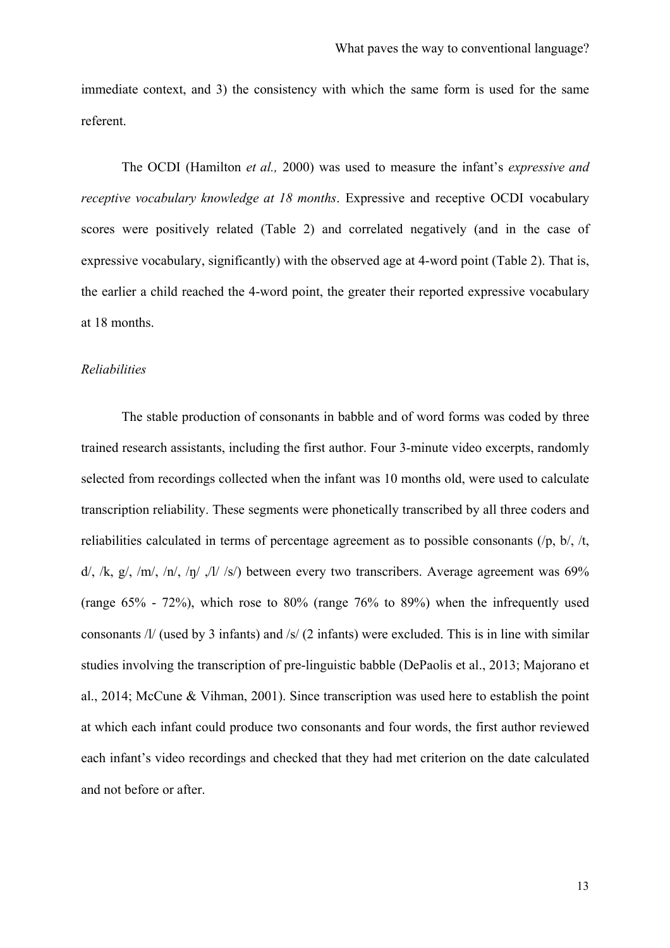immediate context, and 3) the consistency with which the same form is used for the same referent.

The OCDI (Hamilton *et al.,* 2000) was used to measure the infant's *expressive and receptive vocabulary knowledge at 18 months*. Expressive and receptive OCDI vocabulary scores were positively related (Table 2) and correlated negatively (and in the case of expressive vocabulary, significantly) with the observed age at 4-word point (Table 2). That is, the earlier a child reached the 4-word point, the greater their reported expressive vocabulary at 18 months.

#### *Reliabilities*

The stable production of consonants in babble and of word forms was coded by three trained research assistants, including the first author. Four 3-minute video excerpts, randomly selected from recordings collected when the infant was 10 months old, were used to calculate transcription reliability. These segments were phonetically transcribed by all three coders and reliabilities calculated in terms of percentage agreement as to possible consonants  $(\rho, b)$ ,  $/t$ ,  $d/$ ,  $/k$ ,  $g/$ ,  $/m/$ ,  $/n/$ ,  $/n/$ ,  $/l/$  /s/) between every two transcribers. Average agreement was 69% (range 65% - 72%), which rose to 80% (range 76% to 89%) when the infrequently used consonants /l/ (used by 3 infants) and /s/ (2 infants) were excluded. This is in line with similar studies involving the transcription of pre-linguistic babble (DePaolis et al., 2013; Majorano et al., 2014; McCune & Vihman, 2001). Since transcription was used here to establish the point at which each infant could produce two consonants and four words, the first author reviewed each infant's video recordings and checked that they had met criterion on the date calculated and not before or after.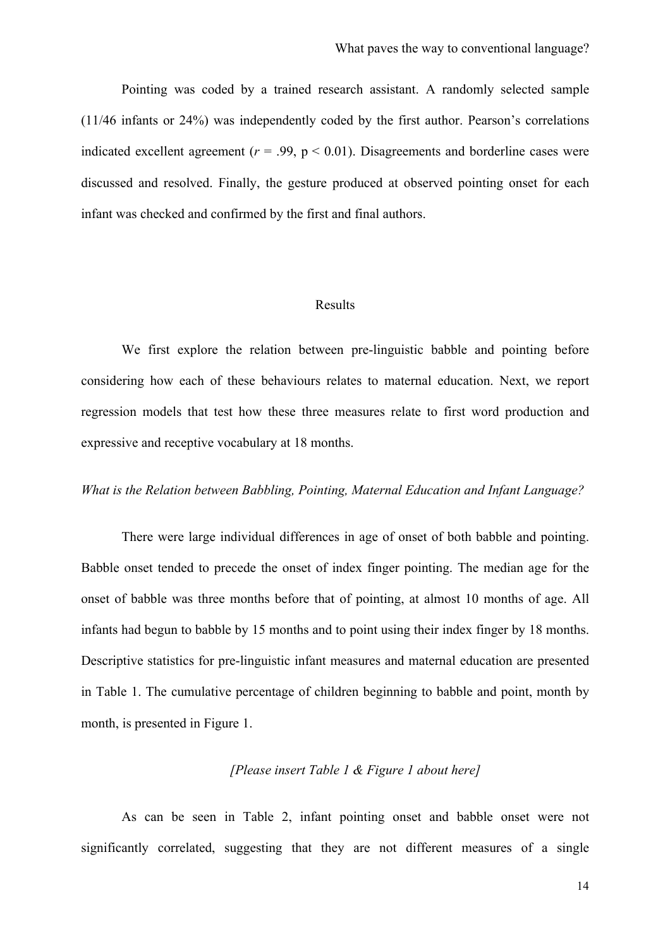Pointing was coded by a trained research assistant. A randomly selected sample (11/46 infants or 24%) was independently coded by the first author. Pearson's correlations indicated excellent agreement ( $r = .99$ ,  $p < 0.01$ ). Disagreements and borderline cases were discussed and resolved. Finally, the gesture produced at observed pointing onset for each infant was checked and confirmed by the first and final authors.

## Results

We first explore the relation between pre-linguistic babble and pointing before considering how each of these behaviours relates to maternal education. Next, we report regression models that test how these three measures relate to first word production and expressive and receptive vocabulary at 18 months.

## *What is the Relation between Babbling, Pointing, Maternal Education and Infant Language?*

There were large individual differences in age of onset of both babble and pointing. Babble onset tended to precede the onset of index finger pointing. The median age for the onset of babble was three months before that of pointing, at almost 10 months of age. All infants had begun to babble by 15 months and to point using their index finger by 18 months. Descriptive statistics for pre-linguistic infant measures and maternal education are presented in Table 1. The cumulative percentage of children beginning to babble and point, month by month, is presented in Figure 1.

## *[Please insert Table 1 & Figure 1 about here]*

As can be seen in Table 2, infant pointing onset and babble onset were not significantly correlated, suggesting that they are not different measures of a single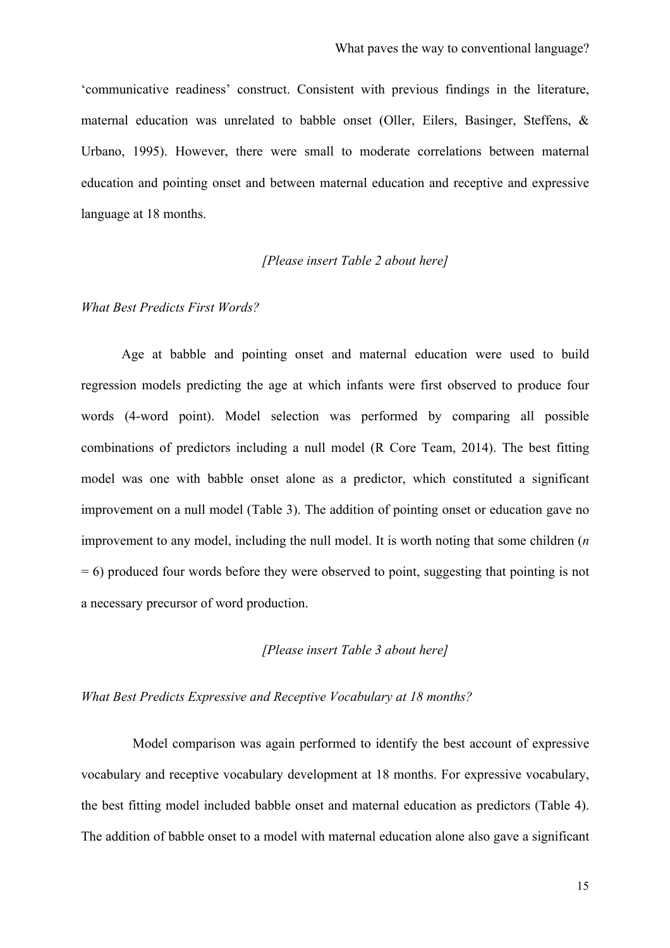'communicative readiness' construct. Consistent with previous findings in the literature, maternal education was unrelated to babble onset (Oller, Eilers, Basinger, Steffens, & Urbano, 1995). However, there were small to moderate correlations between maternal education and pointing onset and between maternal education and receptive and expressive language at 18 months.

## *[Please insert Table 2 about here]*

#### *What Best Predicts First Words?*

Age at babble and pointing onset and maternal education were used to build regression models predicting the age at which infants were first observed to produce four words (4-word point). Model selection was performed by comparing all possible combinations of predictors including a null model (R Core Team, 2014). The best fitting model was one with babble onset alone as a predictor, which constituted a significant improvement on a null model (Table 3). The addition of pointing onset or education gave no improvement to any model, including the null model. It is worth noting that some children (*n*  = 6) produced four words before they were observed to point, suggesting that pointing is not a necessary precursor of word production.

## *[Please insert Table 3 about here]*

## *What Best Predicts Expressive and Receptive Vocabulary at 18 months?*

Model comparison was again performed to identify the best account of expressive vocabulary and receptive vocabulary development at 18 months. For expressive vocabulary, the best fitting model included babble onset and maternal education as predictors (Table 4). The addition of babble onset to a model with maternal education alone also gave a significant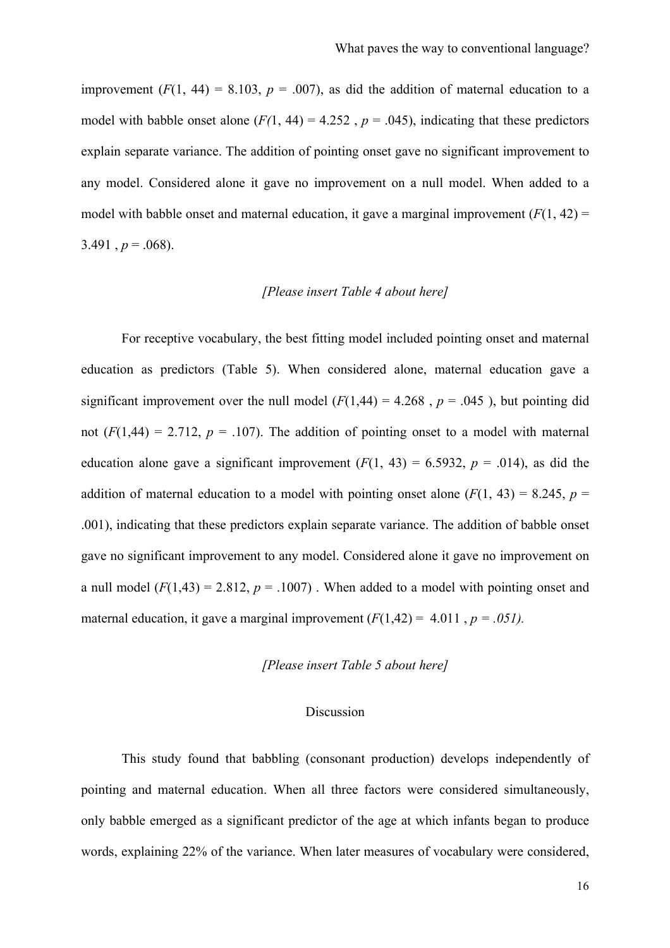improvement  $(F(1, 44) = 8.103, p = .007)$ , as did the addition of maternal education to a model with babble onset alone  $(F(1, 44) = 4.252$ ,  $p = .045)$ , indicating that these predictors explain separate variance. The addition of pointing onset gave no significant improvement to any model. Considered alone it gave no improvement on a null model. When added to a model with babble onset and maternal education, it gave a marginal improvement  $(F(1, 42)$  = 3.491,  $p = .068$ ).

## *[Please insert Table 4 about here]*

For receptive vocabulary, the best fitting model included pointing onset and maternal education as predictors (Table 5). When considered alone, maternal education gave a significant improvement over the null model  $(F(1,44) = 4.268$ ,  $p = .045$ ), but pointing did not  $(F(1,44) = 2.712, p = .107)$ . The addition of pointing onset to a model with maternal education alone gave a significant improvement  $(F(1, 43) = 6.5932, p = .014)$ , as did the addition of maternal education to a model with pointing onset alone  $(F(1, 43) = 8.245, p =$ .001), indicating that these predictors explain separate variance. The addition of babble onset gave no significant improvement to any model. Considered alone it gave no improvement on a null model  $(F(1,43) = 2.812, p = .1007)$ . When added to a model with pointing onset and maternal education, it gave a marginal improvement  $(F(1,42) = 4.011, p = .051)$ .

## *[Please insert Table 5 about here]*

#### Discussion

This study found that babbling (consonant production) develops independently of pointing and maternal education. When all three factors were considered simultaneously, only babble emerged as a significant predictor of the age at which infants began to produce words, explaining 22% of the variance. When later measures of vocabulary were considered,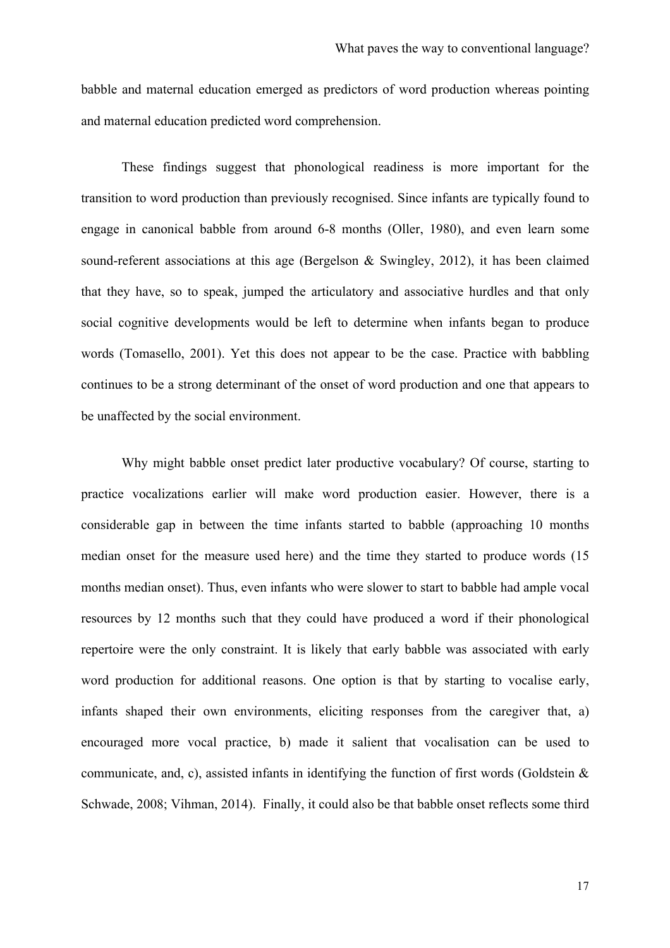babble and maternal education emerged as predictors of word production whereas pointing and maternal education predicted word comprehension.

These findings suggest that phonological readiness is more important for the transition to word production than previously recognised. Since infants are typically found to engage in canonical babble from around 6-8 months (Oller, 1980), and even learn some sound-referent associations at this age (Bergelson & Swingley, 2012), it has been claimed that they have, so to speak, jumped the articulatory and associative hurdles and that only social cognitive developments would be left to determine when infants began to produce words (Tomasello, 2001). Yet this does not appear to be the case. Practice with babbling continues to be a strong determinant of the onset of word production and one that appears to be unaffected by the social environment.

Why might babble onset predict later productive vocabulary? Of course, starting to practice vocalizations earlier will make word production easier. However, there is a considerable gap in between the time infants started to babble (approaching 10 months median onset for the measure used here) and the time they started to produce words (15 months median onset). Thus, even infants who were slower to start to babble had ample vocal resources by 12 months such that they could have produced a word if their phonological repertoire were the only constraint. It is likely that early babble was associated with early word production for additional reasons. One option is that by starting to vocalise early, infants shaped their own environments, eliciting responses from the caregiver that, a) encouraged more vocal practice, b) made it salient that vocalisation can be used to communicate, and, c), assisted infants in identifying the function of first words (Goldstein  $\&$ Schwade, 2008; Vihman, 2014). Finally, it could also be that babble onset reflects some third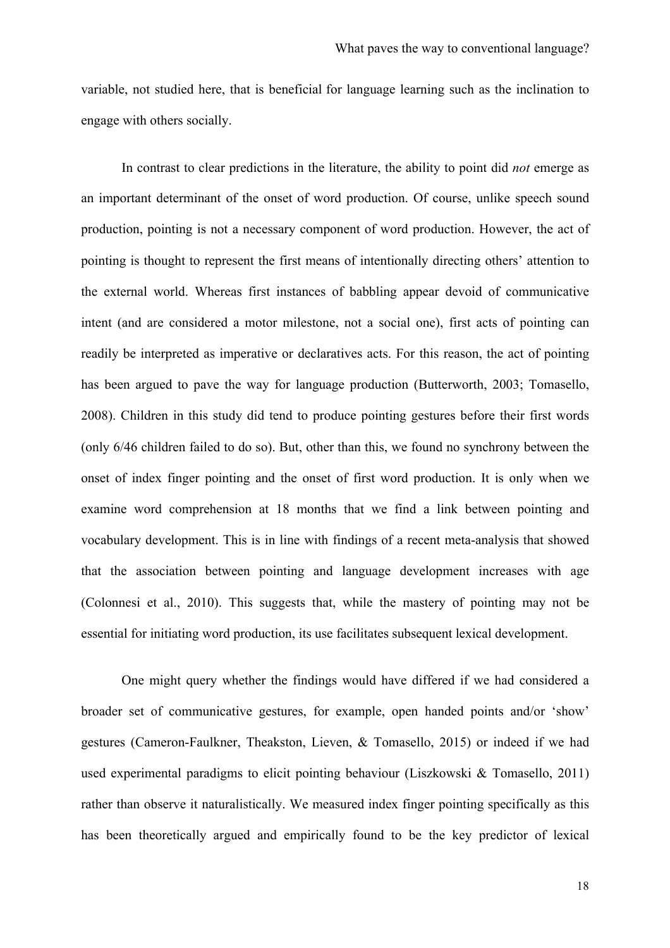variable, not studied here, that is beneficial for language learning such as the inclination to engage with others socially.

In contrast to clear predictions in the literature, the ability to point did *not* emerge as an important determinant of the onset of word production. Of course, unlike speech sound production, pointing is not a necessary component of word production. However, the act of pointing is thought to represent the first means of intentionally directing others' attention to the external world. Whereas first instances of babbling appear devoid of communicative intent (and are considered a motor milestone, not a social one), first acts of pointing can readily be interpreted as imperative or declaratives acts. For this reason, the act of pointing has been argued to pave the way for language production (Butterworth, 2003; Tomasello, 2008). Children in this study did tend to produce pointing gestures before their first words (only 6/46 children failed to do so). But, other than this, we found no synchrony between the onset of index finger pointing and the onset of first word production. It is only when we examine word comprehension at 18 months that we find a link between pointing and vocabulary development. This is in line with findings of a recent meta-analysis that showed that the association between pointing and language development increases with age (Colonnesi et al., 2010). This suggests that, while the mastery of pointing may not be essential for initiating word production, its use facilitates subsequent lexical development.

One might query whether the findings would have differed if we had considered a broader set of communicative gestures, for example, open handed points and/or 'show' gestures (Cameron-Faulkner, Theakston, Lieven, & Tomasello, 2015) or indeed if we had used experimental paradigms to elicit pointing behaviour (Liszkowski & Tomasello, 2011) rather than observe it naturalistically. We measured index finger pointing specifically as this has been theoretically argued and empirically found to be the key predictor of lexical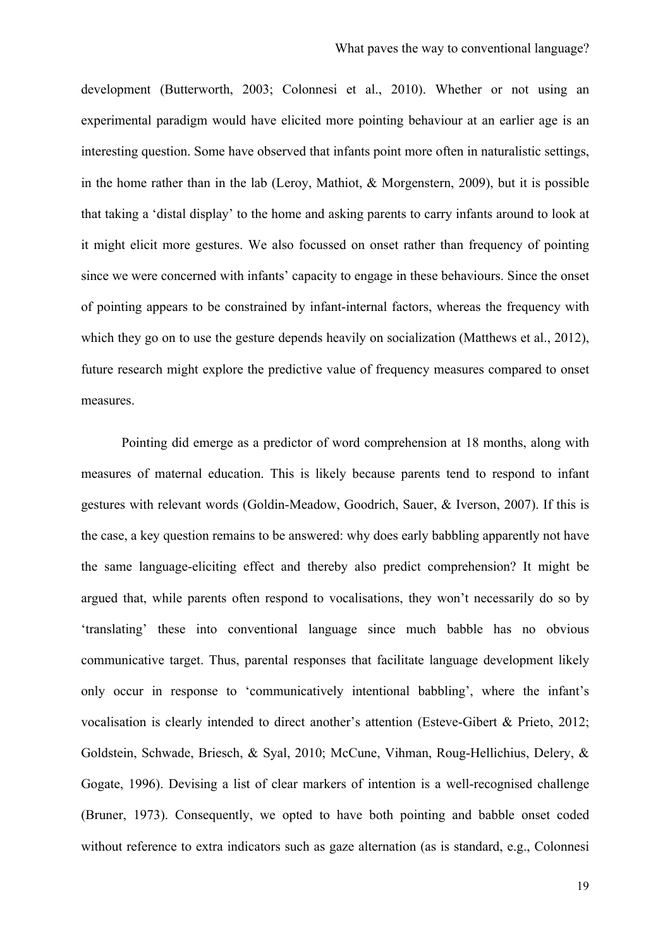development (Butterworth, 2003; Colonnesi et al., 2010). Whether or not using an experimental paradigm would have elicited more pointing behaviour at an earlier age is an interesting question. Some have observed that infants point more often in naturalistic settings, in the home rather than in the lab (Leroy, Mathiot, & Morgenstern, 2009), but it is possible that taking a 'distal display' to the home and asking parents to carry infants around to look at it might elicit more gestures. We also focussed on onset rather than frequency of pointing since we were concerned with infants' capacity to engage in these behaviours. Since the onset of pointing appears to be constrained by infant-internal factors, whereas the frequency with which they go on to use the gesture depends heavily on socialization (Matthews et al., 2012), future research might explore the predictive value of frequency measures compared to onset measures.

Pointing did emerge as a predictor of word comprehension at 18 months, along with measures of maternal education. This is likely because parents tend to respond to infant gestures with relevant words (Goldin-Meadow, Goodrich, Sauer, & Iverson, 2007). If this is the case, a key question remains to be answered: why does early babbling apparently not have the same language-eliciting effect and thereby also predict comprehension? It might be argued that, while parents often respond to vocalisations, they won't necessarily do so by 'translating' these into conventional language since much babble has no obvious communicative target. Thus, parental responses that facilitate language development likely only occur in response to 'communicatively intentional babbling', where the infant's vocalisation is clearly intended to direct another's attention (Esteve-Gibert & Prieto, 2012; Goldstein, Schwade, Briesch, & Syal, 2010; McCune, Vihman, Roug-Hellichius, Delery, & Gogate, 1996). Devising a list of clear markers of intention is a well-recognised challenge (Bruner, 1973). Consequently, we opted to have both pointing and babble onset coded without reference to extra indicators such as gaze alternation (as is standard, e.g., Colonnesi

19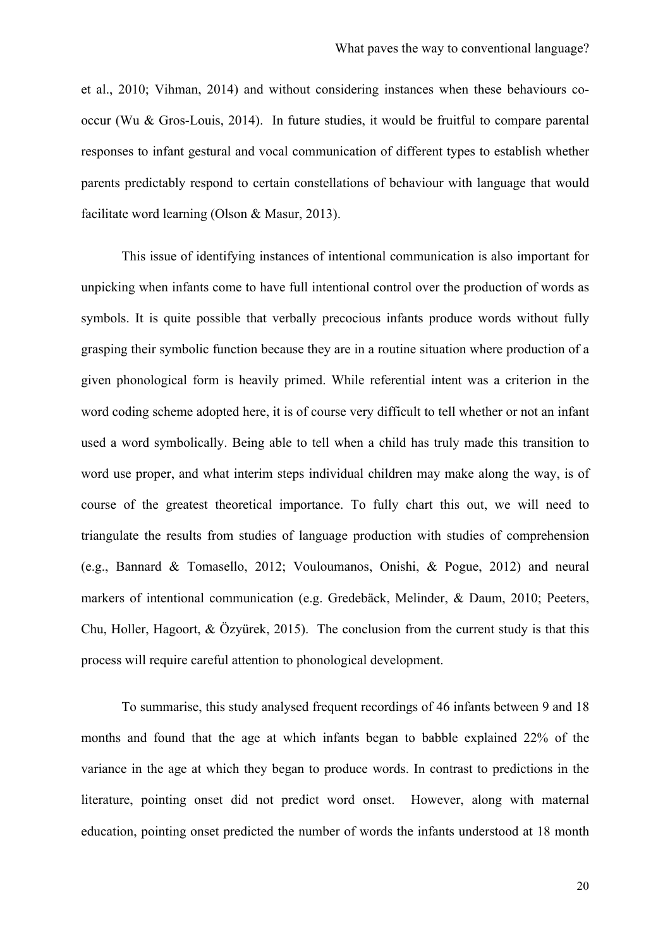et al., 2010; Vihman, 2014) and without considering instances when these behaviours cooccur (Wu & Gros-Louis, 2014). In future studies, it would be fruitful to compare parental responses to infant gestural and vocal communication of different types to establish whether parents predictably respond to certain constellations of behaviour with language that would facilitate word learning (Olson & Masur, 2013).

This issue of identifying instances of intentional communication is also important for unpicking when infants come to have full intentional control over the production of words as symbols. It is quite possible that verbally precocious infants produce words without fully grasping their symbolic function because they are in a routine situation where production of a given phonological form is heavily primed. While referential intent was a criterion in the word coding scheme adopted here, it is of course very difficult to tell whether or not an infant used a word symbolically. Being able to tell when a child has truly made this transition to word use proper, and what interim steps individual children may make along the way, is of course of the greatest theoretical importance. To fully chart this out, we will need to triangulate the results from studies of language production with studies of comprehension (e.g., Bannard & Tomasello, 2012; Vouloumanos, Onishi, & Pogue, 2012) and neural markers of intentional communication (e.g. Gredebäck, Melinder, & Daum, 2010; Peeters, Chu, Holler, Hagoort, & Özyürek, 2015). The conclusion from the current study is that this process will require careful attention to phonological development.

To summarise, this study analysed frequent recordings of 46 infants between 9 and 18 months and found that the age at which infants began to babble explained 22% of the variance in the age at which they began to produce words. In contrast to predictions in the literature, pointing onset did not predict word onset. However, along with maternal education, pointing onset predicted the number of words the infants understood at 18 month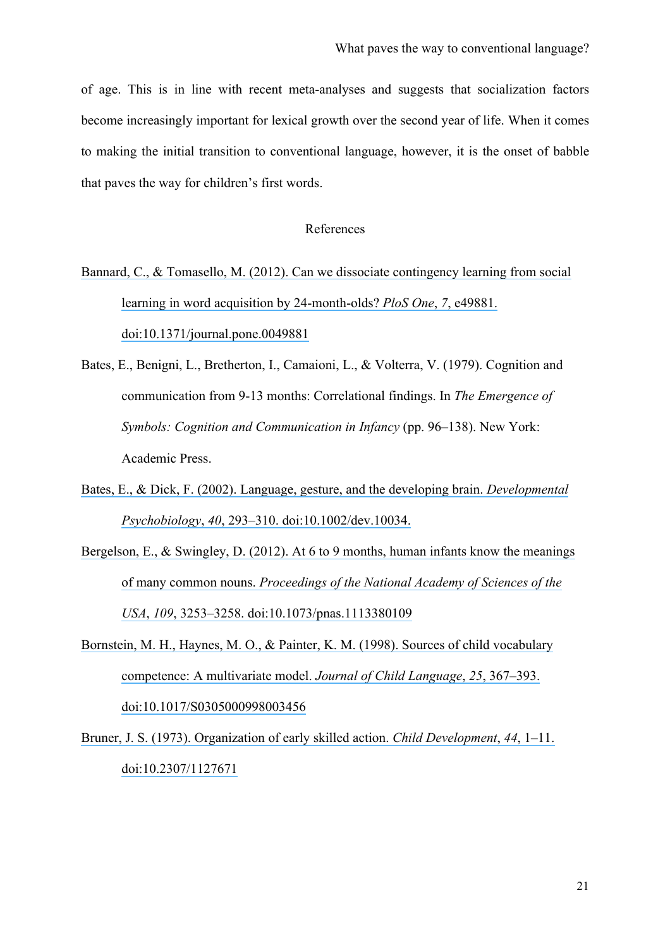of age. This is in line with recent meta-analyses and suggests that socialization factors become increasingly important for lexical growth over the second year of life. When it comes to making the initial transition to conventional language, however, it is the onset of babble that paves the way for children's first words.

## References

- Bannard, C., & Tomasello, M. (2012). [Can we dissociate contingency learning from social](https://www.researchgate.net/publication/233775648_Can_We_Dissociate_Contingency_Learning_from_Social_Learning_in_Word_Acquisition_by_24-Month-Olds?el=1_x_8&enrichId=rgreq-2443db36-a843-4052-88c7-54897fb97819&enrichSource=Y292ZXJQYWdlOzI5MDQzNTkzMTtBUzozMTc4NzcwNDE3Mjk1NDRAMTQ1Mjc5OTIwMDM1MQ==) [learning in word acquisition by 24-month-olds?](https://www.researchgate.net/publication/233775648_Can_We_Dissociate_Contingency_Learning_from_Social_Learning_in_Word_Acquisition_by_24-Month-Olds?el=1_x_8&enrichId=rgreq-2443db36-a843-4052-88c7-54897fb97819&enrichSource=Y292ZXJQYWdlOzI5MDQzNTkzMTtBUzozMTc4NzcwNDE3Mjk1NDRAMTQ1Mjc5OTIwMDM1MQ==) *PloS One*, *7*, e49881. [doi:10.1371/journal.pone.0049881](https://www.researchgate.net/publication/233775648_Can_We_Dissociate_Contingency_Learning_from_Social_Learning_in_Word_Acquisition_by_24-Month-Olds?el=1_x_8&enrichId=rgreq-2443db36-a843-4052-88c7-54897fb97819&enrichSource=Y292ZXJQYWdlOzI5MDQzNTkzMTtBUzozMTc4NzcwNDE3Mjk1NDRAMTQ1Mjc5OTIwMDM1MQ==)
- Bates, E., Benigni, L., Bretherton, I., Camaioni, L., & Volterra, V. (1979). Cognition and communication from 9-13 months: Correlational findings. In *The Emergence of Symbols: Cognition and Communication in Infancy* (pp. 96–138). New York: Academic Press.
- [Bates, E., & Dick, F. \(2002\). Language, gesture, and the developing brain.](https://www.researchgate.net/publication/11471033_Language_gesture_and_the_developing_brain?el=1_x_8&enrichId=rgreq-2443db36-a843-4052-88c7-54897fb97819&enrichSource=Y292ZXJQYWdlOzI5MDQzNTkzMTtBUzozMTc4NzcwNDE3Mjk1NDRAMTQ1Mjc5OTIwMDM1MQ==) *Developmental Psychobiology*, *40*[, 293–310. doi:10.1002/dev.10034.](https://www.researchgate.net/publication/11471033_Language_gesture_and_the_developing_brain?el=1_x_8&enrichId=rgreq-2443db36-a843-4052-88c7-54897fb97819&enrichSource=Y292ZXJQYWdlOzI5MDQzNTkzMTtBUzozMTc4NzcwNDE3Mjk1NDRAMTQ1Mjc5OTIwMDM1MQ==)
- Bergelson, E., & Swingley, D. (2012). At 6 to 9 months, human infants know the meanings of many common nouns. *[Proceedings of the National Academy of Sciences of the](https://www.researchgate.net/publication/221830089_At_6-9_months_human_infants_know_the_meanings_of_many_common_nouns?el=1_x_8&enrichId=rgreq-2443db36-a843-4052-88c7-54897fb97819&enrichSource=Y292ZXJQYWdlOzI5MDQzNTkzMTtBUzozMTc4NzcwNDE3Mjk1NDRAMTQ1Mjc5OTIwMDM1MQ==)  USA*, *109*[, 3253–3258. doi:10.1073/pnas.1113380109](https://www.researchgate.net/publication/221830089_At_6-9_months_human_infants_know_the_meanings_of_many_common_nouns?el=1_x_8&enrichId=rgreq-2443db36-a843-4052-88c7-54897fb97819&enrichSource=Y292ZXJQYWdlOzI5MDQzNTkzMTtBUzozMTc4NzcwNDE3Mjk1NDRAMTQ1Mjc5OTIwMDM1MQ==)
- [Bornstein, M. H., Haynes, M. O., & Painter, K. M. \(1998\). Sources of child vocabulary](https://www.researchgate.net/publication/13515101_Source_of_child_vocabulary_competence_A_multivariate_model?el=1_x_8&enrichId=rgreq-2443db36-a843-4052-88c7-54897fb97819&enrichSource=Y292ZXJQYWdlOzI5MDQzNTkzMTtBUzozMTc4NzcwNDE3Mjk1NDRAMTQ1Mjc5OTIwMDM1MQ==) [competence: A multivariate model.](https://www.researchgate.net/publication/13515101_Source_of_child_vocabulary_competence_A_multivariate_model?el=1_x_8&enrichId=rgreq-2443db36-a843-4052-88c7-54897fb97819&enrichSource=Y292ZXJQYWdlOzI5MDQzNTkzMTtBUzozMTc4NzcwNDE3Mjk1NDRAMTQ1Mjc5OTIwMDM1MQ==) *Journal of Child Language*, *25*, 367–393. [doi:10.1017/S0305000998003456](https://www.researchgate.net/publication/13515101_Source_of_child_vocabulary_competence_A_multivariate_model?el=1_x_8&enrichId=rgreq-2443db36-a843-4052-88c7-54897fb97819&enrichSource=Y292ZXJQYWdlOzI5MDQzNTkzMTtBUzozMTc4NzcwNDE3Mjk1NDRAMTQ1Mjc5OTIwMDM1MQ==)
- [Bruner, J. S. \(1973\). Organization of early skilled action.](https://www.researchgate.net/publication/18460381_The_Organization_of_Early_Skilled_Action?el=1_x_8&enrichId=rgreq-2443db36-a843-4052-88c7-54897fb97819&enrichSource=Y292ZXJQYWdlOzI5MDQzNTkzMTtBUzozMTc4NzcwNDE3Mjk1NDRAMTQ1Mjc5OTIwMDM1MQ==) *Child Development*, *44*, 1–11. [doi:10.2307/1127671](https://www.researchgate.net/publication/18460381_The_Organization_of_Early_Skilled_Action?el=1_x_8&enrichId=rgreq-2443db36-a843-4052-88c7-54897fb97819&enrichSource=Y292ZXJQYWdlOzI5MDQzNTkzMTtBUzozMTc4NzcwNDE3Mjk1NDRAMTQ1Mjc5OTIwMDM1MQ==)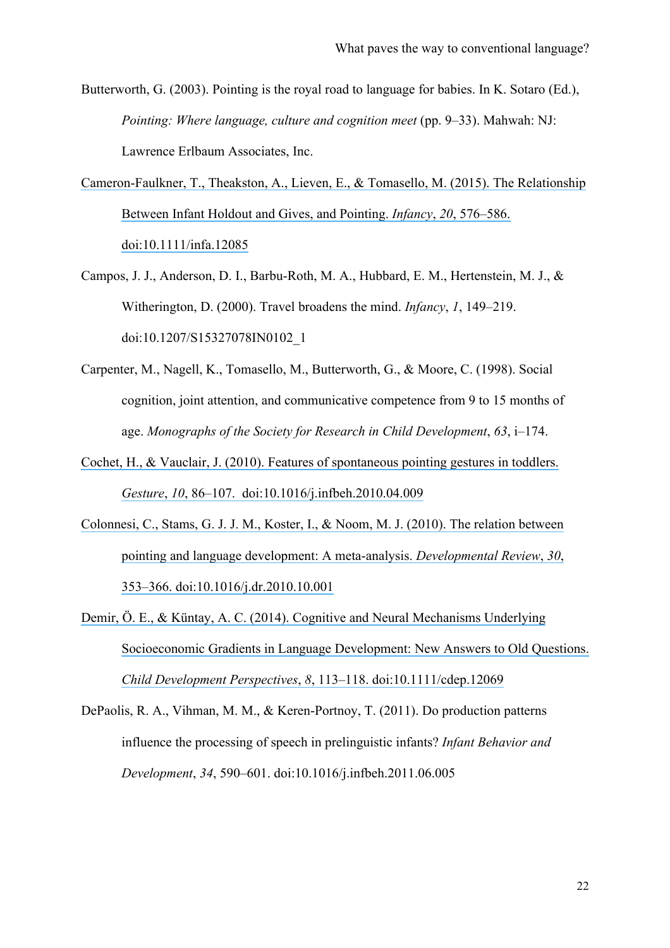Butterworth, G. (2003). Pointing is the royal road to language for babies. In K. Sotaro (Ed.), *Pointing: Where language, culture and cognition meet* (pp. 9–33). Mahwah: NJ: Lawrence Erlbaum Associates, Inc.

- [Cameron-Faulkner, T., Theakston, A., Lieven, E., & Tomasello, M. \(2015\). The Relationship](https://www.researchgate.net/publication/276150687_The_Relationship_Between_Infant_Holdout_and_Gives_and_Pointing?el=1_x_8&enrichId=rgreq-2443db36-a843-4052-88c7-54897fb97819&enrichSource=Y292ZXJQYWdlOzI5MDQzNTkzMTtBUzozMTc4NzcwNDE3Mjk1NDRAMTQ1Mjc5OTIwMDM1MQ==) [Between Infant Holdout and Gives, and Pointing.](https://www.researchgate.net/publication/276150687_The_Relationship_Between_Infant_Holdout_and_Gives_and_Pointing?el=1_x_8&enrichId=rgreq-2443db36-a843-4052-88c7-54897fb97819&enrichSource=Y292ZXJQYWdlOzI5MDQzNTkzMTtBUzozMTc4NzcwNDE3Mjk1NDRAMTQ1Mjc5OTIwMDM1MQ==) *Infancy*, *20*, 576–586. [doi:10.1111/infa.12085](https://www.researchgate.net/publication/276150687_The_Relationship_Between_Infant_Holdout_and_Gives_and_Pointing?el=1_x_8&enrichId=rgreq-2443db36-a843-4052-88c7-54897fb97819&enrichSource=Y292ZXJQYWdlOzI5MDQzNTkzMTtBUzozMTc4NzcwNDE3Mjk1NDRAMTQ1Mjc5OTIwMDM1MQ==)
- Campos, J. J., Anderson, D. I., Barbu-Roth, M. A., Hubbard, E. M., Hertenstein, M. J., & Witherington, D. (2000). Travel broadens the mind. *Infancy*, *1*, 149–219. doi:10.1207/S15327078IN0102\_1
- Carpenter, M., Nagell, K., Tomasello, M., Butterworth, G., & Moore, C. (1998). Social cognition, joint attention, and communicative competence from 9 to 15 months of age. *Monographs of the Society for Research in Child Development*, *63*, i–174.
- [Cochet, H., & Vauclair, J. \(2010\). Features of spontaneous pointing gestures in toddlers.](https://www.researchgate.net/publication/229067341_Features_of_spontaneous_pointing_gestures_in_toddlers?el=1_x_8&enrichId=rgreq-2443db36-a843-4052-88c7-54897fb97819&enrichSource=Y292ZXJQYWdlOzI5MDQzNTkzMTtBUzozMTc4NzcwNDE3Mjk1NDRAMTQ1Mjc5OTIwMDM1MQ==) *Gesture*, *10*[, 86–107. doi:10.1016/j.infbeh.2010.04.009](https://www.researchgate.net/publication/229067341_Features_of_spontaneous_pointing_gestures_in_toddlers?el=1_x_8&enrichId=rgreq-2443db36-a843-4052-88c7-54897fb97819&enrichSource=Y292ZXJQYWdlOzI5MDQzNTkzMTtBUzozMTc4NzcwNDE3Mjk1NDRAMTQ1Mjc5OTIwMDM1MQ==)
- [Colonnesi, C., Stams, G. J. J. M., Koster, I., & Noom, M. J. \(2010\). The relation between](https://www.researchgate.net/publication/228107571_The_relation_between_pointing_and_language_development_A_meta-analysis?el=1_x_8&enrichId=rgreq-2443db36-a843-4052-88c7-54897fb97819&enrichSource=Y292ZXJQYWdlOzI5MDQzNTkzMTtBUzozMTc4NzcwNDE3Mjk1NDRAMTQ1Mjc5OTIwMDM1MQ==)  [pointing and language development: A meta-analysis.](https://www.researchgate.net/publication/228107571_The_relation_between_pointing_and_language_development_A_meta-analysis?el=1_x_8&enrichId=rgreq-2443db36-a843-4052-88c7-54897fb97819&enrichSource=Y292ZXJQYWdlOzI5MDQzNTkzMTtBUzozMTc4NzcwNDE3Mjk1NDRAMTQ1Mjc5OTIwMDM1MQ==) *Developmental Review*, *30*, [353–366. doi:10.1016/j.dr.2010.10.001](https://www.researchgate.net/publication/228107571_The_relation_between_pointing_and_language_development_A_meta-analysis?el=1_x_8&enrichId=rgreq-2443db36-a843-4052-88c7-54897fb97819&enrichSource=Y292ZXJQYWdlOzI5MDQzNTkzMTtBUzozMTc4NzcwNDE3Mjk1NDRAMTQ1Mjc5OTIwMDM1MQ==)
- [Demir, Ö. E., & Küntay, A. C. \(2014\). Cognitive and Neural Mechanisms Underlying](https://www.researchgate.net/publication/262026505_Cognitive_and_Neural_Mechanisms_Underlying_Socioeconomic_Gradients_in_Language_Development_New_Answers_to_Old_Questions?el=1_x_8&enrichId=rgreq-2443db36-a843-4052-88c7-54897fb97819&enrichSource=Y292ZXJQYWdlOzI5MDQzNTkzMTtBUzozMTc4NzcwNDE3Mjk1NDRAMTQ1Mjc5OTIwMDM1MQ==)  [Socioeconomic Gradients in Language Development: New Answers to Old Questions.](https://www.researchgate.net/publication/262026505_Cognitive_and_Neural_Mechanisms_Underlying_Socioeconomic_Gradients_in_Language_Development_New_Answers_to_Old_Questions?el=1_x_8&enrichId=rgreq-2443db36-a843-4052-88c7-54897fb97819&enrichSource=Y292ZXJQYWdlOzI5MDQzNTkzMTtBUzozMTc4NzcwNDE3Mjk1NDRAMTQ1Mjc5OTIwMDM1MQ==) *Child Development Perspectives*, *8*[, 113–118. doi:10.1111/cdep.12069](https://www.researchgate.net/publication/262026505_Cognitive_and_Neural_Mechanisms_Underlying_Socioeconomic_Gradients_in_Language_Development_New_Answers_to_Old_Questions?el=1_x_8&enrichId=rgreq-2443db36-a843-4052-88c7-54897fb97819&enrichSource=Y292ZXJQYWdlOzI5MDQzNTkzMTtBUzozMTc4NzcwNDE3Mjk1NDRAMTQ1Mjc5OTIwMDM1MQ==)
- DePaolis, R. A., Vihman, M. M., & Keren-Portnoy, T. (2011). Do production patterns influence the processing of speech in prelinguistic infants? *Infant Behavior and Development*, *34*, 590–601. doi:10.1016/j.infbeh.2011.06.005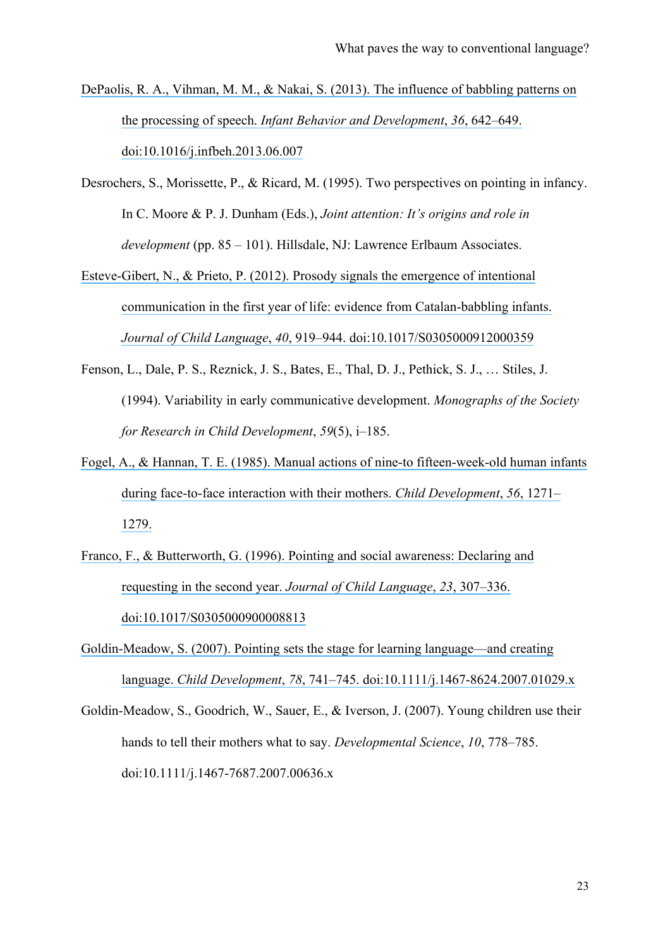- [DePaolis, R. A., Vihman, M. M., & Nakai, S. \(2013\). The influence of babbling patterns on](https://www.researchgate.net/publication/255176626_The_influence_of_babbling_patterns_on_the_processing_of_speech?el=1_x_8&enrichId=rgreq-2443db36-a843-4052-88c7-54897fb97819&enrichSource=Y292ZXJQYWdlOzI5MDQzNTkzMTtBUzozMTc4NzcwNDE3Mjk1NDRAMTQ1Mjc5OTIwMDM1MQ==)  the processing of speech. *[Infant Behavior and Development](https://www.researchgate.net/publication/255176626_The_influence_of_babbling_patterns_on_the_processing_of_speech?el=1_x_8&enrichId=rgreq-2443db36-a843-4052-88c7-54897fb97819&enrichSource=Y292ZXJQYWdlOzI5MDQzNTkzMTtBUzozMTc4NzcwNDE3Mjk1NDRAMTQ1Mjc5OTIwMDM1MQ==)*, *36*, 642–649. [doi:10.1016/j.infbeh.2013.06.007](https://www.researchgate.net/publication/255176626_The_influence_of_babbling_patterns_on_the_processing_of_speech?el=1_x_8&enrichId=rgreq-2443db36-a843-4052-88c7-54897fb97819&enrichSource=Y292ZXJQYWdlOzI5MDQzNTkzMTtBUzozMTc4NzcwNDE3Mjk1NDRAMTQ1Mjc5OTIwMDM1MQ==)
- Desrochers, S., Morissette, P., & Ricard, M. (1995). Two perspectives on pointing in infancy. In C. Moore & P. J. Dunham (Eds.), *Joint attention: It's origins and role in development* (pp. 85 – 101). Hillsdale, NJ: Lawrence Erlbaum Associates.
- [Esteve-Gibert, N., & Prieto, P. \(2012\). Prosody signals the emergence of intentional](https://www.researchgate.net/publication/230655322_Prosody_signals_the_emergence_of_intentional_communication_in_the_first_year_of_life_Evidence_from_Catalan-babbling_infants?el=1_x_8&enrichId=rgreq-2443db36-a843-4052-88c7-54897fb97819&enrichSource=Y292ZXJQYWdlOzI5MDQzNTkzMTtBUzozMTc4NzcwNDE3Mjk1NDRAMTQ1Mjc5OTIwMDM1MQ==)  [communication in the first year of life: evidence from Catalan-babbling infants.](https://www.researchgate.net/publication/230655322_Prosody_signals_the_emergence_of_intentional_communication_in_the_first_year_of_life_Evidence_from_Catalan-babbling_infants?el=1_x_8&enrichId=rgreq-2443db36-a843-4052-88c7-54897fb97819&enrichSource=Y292ZXJQYWdlOzI5MDQzNTkzMTtBUzozMTc4NzcwNDE3Mjk1NDRAMTQ1Mjc5OTIwMDM1MQ==) *Journal of Child Language*, *40*[, 919–944. doi:10.1017/S0305000912000359](https://www.researchgate.net/publication/230655322_Prosody_signals_the_emergence_of_intentional_communication_in_the_first_year_of_life_Evidence_from_Catalan-babbling_infants?el=1_x_8&enrichId=rgreq-2443db36-a843-4052-88c7-54897fb97819&enrichSource=Y292ZXJQYWdlOzI5MDQzNTkzMTtBUzozMTc4NzcwNDE3Mjk1NDRAMTQ1Mjc5OTIwMDM1MQ==)
- Fenson, L., Dale, P. S., Reznick, J. S., Bates, E., Thal, D. J., Pethick, S. J., … Stiles, J. (1994). Variability in early communicative development. *Monographs of the Society for Research in Child Development*, *59*(5), i–185.
- [Fogel, A., & Hannan, T. E. \(1985\). Manual actions of nine-to fifteen-week-old human infants](https://www.researchgate.net/publication/19107687_Manual_Actions_of_Nine-to_Fifteen-Week-Old_Human_Infants_during_Face-to-Face_Interaction_with_Their_Mothers?el=1_x_8&enrichId=rgreq-2443db36-a843-4052-88c7-54897fb97819&enrichSource=Y292ZXJQYWdlOzI5MDQzNTkzMTtBUzozMTc4NzcwNDE3Mjk1NDRAMTQ1Mjc5OTIwMDM1MQ==) [during face-to-face interaction with their mothers.](https://www.researchgate.net/publication/19107687_Manual_Actions_of_Nine-to_Fifteen-Week-Old_Human_Infants_during_Face-to-Face_Interaction_with_Their_Mothers?el=1_x_8&enrichId=rgreq-2443db36-a843-4052-88c7-54897fb97819&enrichSource=Y292ZXJQYWdlOzI5MDQzNTkzMTtBUzozMTc4NzcwNDE3Mjk1NDRAMTQ1Mjc5OTIwMDM1MQ==) *Child Development*, *56*, 1271– [1279.](https://www.researchgate.net/publication/19107687_Manual_Actions_of_Nine-to_Fifteen-Week-Old_Human_Infants_during_Face-to-Face_Interaction_with_Their_Mothers?el=1_x_8&enrichId=rgreq-2443db36-a843-4052-88c7-54897fb97819&enrichSource=Y292ZXJQYWdlOzI5MDQzNTkzMTtBUzozMTc4NzcwNDE3Mjk1NDRAMTQ1Mjc5OTIwMDM1MQ==)
- [Franco, F., & Butterworth, G. \(1996\). Pointing and social awareness: Declaring and](https://www.researchgate.net/publication/14269876_Pointing_and_social_awareness_Declaring_and_requesting_in_the_second_year?el=1_x_8&enrichId=rgreq-2443db36-a843-4052-88c7-54897fb97819&enrichSource=Y292ZXJQYWdlOzI5MDQzNTkzMTtBUzozMTc4NzcwNDE3Mjk1NDRAMTQ1Mjc5OTIwMDM1MQ==) [requesting in the second year.](https://www.researchgate.net/publication/14269876_Pointing_and_social_awareness_Declaring_and_requesting_in_the_second_year?el=1_x_8&enrichId=rgreq-2443db36-a843-4052-88c7-54897fb97819&enrichSource=Y292ZXJQYWdlOzI5MDQzNTkzMTtBUzozMTc4NzcwNDE3Mjk1NDRAMTQ1Mjc5OTIwMDM1MQ==) *Journal of Child Language*, *23*, 307–336. [doi:10.1017/S0305000900008813](https://www.researchgate.net/publication/14269876_Pointing_and_social_awareness_Declaring_and_requesting_in_the_second_year?el=1_x_8&enrichId=rgreq-2443db36-a843-4052-88c7-54897fb97819&enrichSource=Y292ZXJQYWdlOzI5MDQzNTkzMTtBUzozMTc4NzcwNDE3Mjk1NDRAMTQ1Mjc5OTIwMDM1MQ==)
- [Goldin-Meadow, S. \(2007\). Pointing sets the stage for learning language—and creating](https://www.researchgate.net/publication/6315649_Pointing_Sets_the_Stage_for_Learning_Languageand_Creating_Language?el=1_x_8&enrichId=rgreq-2443db36-a843-4052-88c7-54897fb97819&enrichSource=Y292ZXJQYWdlOzI5MDQzNTkzMTtBUzozMTc4NzcwNDE3Mjk1NDRAMTQ1Mjc5OTIwMDM1MQ==)  language. *Child Development*, *78*[, 741–745. doi:10.1111/j.1467-8624.2007.01029.x](https://www.researchgate.net/publication/6315649_Pointing_Sets_the_Stage_for_Learning_Languageand_Creating_Language?el=1_x_8&enrichId=rgreq-2443db36-a843-4052-88c7-54897fb97819&enrichSource=Y292ZXJQYWdlOzI5MDQzNTkzMTtBUzozMTc4NzcwNDE3Mjk1NDRAMTQ1Mjc5OTIwMDM1MQ==)
- Goldin-Meadow, S., Goodrich, W., Sauer, E., & Iverson, J. (2007). Young children use their hands to tell their mothers what to say. *Developmental Science*, *10*, 778–785. doi:10.1111/j.1467-7687.2007.00636.x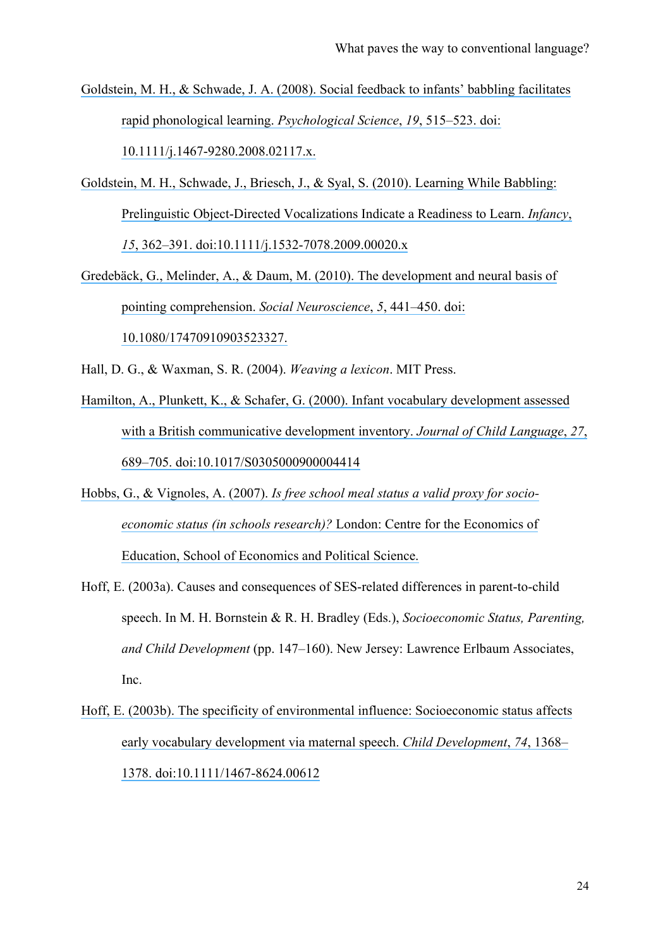- [Goldstein, M. H., & Schwade, J. A. \(2008\). Social feedback to infants' babbling facilitates](https://www.researchgate.net/publication/5386101_Social_feedback_to_infants)  [rapid phonological learning.](https://www.researchgate.net/publication/5386101_Social_feedback_to_infants) *Psychological Science*, *19*, 515–523. doi: [10.1111/j.1467-9280.2008.02117.x.](https://www.researchgate.net/publication/5386101_Social_feedback_to_infants)
- [Goldstein, M. H., Schwade, J., Briesch, J., & Syal, S. \(2010\). Learning While Babbling:](https://www.researchgate.net/publication/227617271_Learning_While_Babbling_Prelinguistic_Object-Directed_Vocalizations_Indicate_a_Readiness_to_Learn?el=1_x_8&enrichId=rgreq-2443db36-a843-4052-88c7-54897fb97819&enrichSource=Y292ZXJQYWdlOzI5MDQzNTkzMTtBUzozMTc4NzcwNDE3Mjk1NDRAMTQ1Mjc5OTIwMDM1MQ==)  [Prelinguistic Object-Directed Vocalizations Indicate a Readiness to Learn.](https://www.researchgate.net/publication/227617271_Learning_While_Babbling_Prelinguistic_Object-Directed_Vocalizations_Indicate_a_Readiness_to_Learn?el=1_x_8&enrichId=rgreq-2443db36-a843-4052-88c7-54897fb97819&enrichSource=Y292ZXJQYWdlOzI5MDQzNTkzMTtBUzozMTc4NzcwNDE3Mjk1NDRAMTQ1Mjc5OTIwMDM1MQ==) *Infancy*, *15*[, 362–391. doi:10.1111/j.1532-7078.2009.00020.x](https://www.researchgate.net/publication/227617271_Learning_While_Babbling_Prelinguistic_Object-Directed_Vocalizations_Indicate_a_Readiness_to_Learn?el=1_x_8&enrichId=rgreq-2443db36-a843-4052-88c7-54897fb97819&enrichSource=Y292ZXJQYWdlOzI5MDQzNTkzMTtBUzozMTc4NzcwNDE3Mjk1NDRAMTQ1Mjc5OTIwMDM1MQ==)
- [Gredebäck, G., Melinder, A., & Daum, M. \(2010\). The development and neural basis of](https://www.researchgate.net/publication/41454288_The_development_and_neural_basis_of_pointing_comprehension?el=1_x_8&enrichId=rgreq-2443db36-a843-4052-88c7-54897fb97819&enrichSource=Y292ZXJQYWdlOzI5MDQzNTkzMTtBUzozMTc4NzcwNDE3Mjk1NDRAMTQ1Mjc5OTIwMDM1MQ==)  [pointing comprehension.](https://www.researchgate.net/publication/41454288_The_development_and_neural_basis_of_pointing_comprehension?el=1_x_8&enrichId=rgreq-2443db36-a843-4052-88c7-54897fb97819&enrichSource=Y292ZXJQYWdlOzI5MDQzNTkzMTtBUzozMTc4NzcwNDE3Mjk1NDRAMTQ1Mjc5OTIwMDM1MQ==) *Social Neuroscience*, *5*, 441–450. doi: [10.1080/17470910903523327.](https://www.researchgate.net/publication/41454288_The_development_and_neural_basis_of_pointing_comprehension?el=1_x_8&enrichId=rgreq-2443db36-a843-4052-88c7-54897fb97819&enrichSource=Y292ZXJQYWdlOzI5MDQzNTkzMTtBUzozMTc4NzcwNDE3Mjk1NDRAMTQ1Mjc5OTIwMDM1MQ==)
- Hall, D. G., & Waxman, S. R. (2004). *Weaving a lexicon*. MIT Press.
- [Hamilton, A., Plunkett, K., & Schafer, G. \(2000\). Infant vocabulary development assessed](https://www.researchgate.net/publication/44215628_Infant_vocabulary_development_assessed_with_a_British_Communicative_Development_Inventory_Lower_scores_in_the_UK_than_the_USA?el=1_x_8&enrichId=rgreq-2443db36-a843-4052-88c7-54897fb97819&enrichSource=Y292ZXJQYWdlOzI5MDQzNTkzMTtBUzozMTc4NzcwNDE3Mjk1NDRAMTQ1Mjc5OTIwMDM1MQ==)  [with a British communicative development inventory.](https://www.researchgate.net/publication/44215628_Infant_vocabulary_development_assessed_with_a_British_Communicative_Development_Inventory_Lower_scores_in_the_UK_than_the_USA?el=1_x_8&enrichId=rgreq-2443db36-a843-4052-88c7-54897fb97819&enrichSource=Y292ZXJQYWdlOzI5MDQzNTkzMTtBUzozMTc4NzcwNDE3Mjk1NDRAMTQ1Mjc5OTIwMDM1MQ==) *Journal of Child Language*, *27*, [689–705. doi:10.1017/S0305000900004414](https://www.researchgate.net/publication/44215628_Infant_vocabulary_development_assessed_with_a_British_Communicative_Development_Inventory_Lower_scores_in_the_UK_than_the_USA?el=1_x_8&enrichId=rgreq-2443db36-a843-4052-88c7-54897fb97819&enrichSource=Y292ZXJQYWdlOzI5MDQzNTkzMTtBUzozMTc4NzcwNDE3Mjk1NDRAMTQ1Mjc5OTIwMDM1MQ==)
- Hobbs, G., & Vignoles, A. (2007). *[Is free school meal status a valid proxy for socio](https://www.researchgate.net/publication/4807579_Is_Free_School_Meal_Status_a_Valid_Proxy_for_Socio-Economic_Status_in_Schools_Research?el=1_x_8&enrichId=rgreq-2443db36-a843-4052-88c7-54897fb97819&enrichSource=Y292ZXJQYWdlOzI5MDQzNTkzMTtBUzozMTc4NzcwNDE3Mjk1NDRAMTQ1Mjc5OTIwMDM1MQ==)[economic status \(in schools research\)?](https://www.researchgate.net/publication/4807579_Is_Free_School_Meal_Status_a_Valid_Proxy_for_Socio-Economic_Status_in_Schools_Research?el=1_x_8&enrichId=rgreq-2443db36-a843-4052-88c7-54897fb97819&enrichSource=Y292ZXJQYWdlOzI5MDQzNTkzMTtBUzozMTc4NzcwNDE3Mjk1NDRAMTQ1Mjc5OTIwMDM1MQ==)* London: Centre for the Economics of [Education, School of Economics and Political Science.](https://www.researchgate.net/publication/4807579_Is_Free_School_Meal_Status_a_Valid_Proxy_for_Socio-Economic_Status_in_Schools_Research?el=1_x_8&enrichId=rgreq-2443db36-a843-4052-88c7-54897fb97819&enrichSource=Y292ZXJQYWdlOzI5MDQzNTkzMTtBUzozMTc4NzcwNDE3Mjk1NDRAMTQ1Mjc5OTIwMDM1MQ==)
- Hoff, E. (2003a). Causes and consequences of SES-related differences in parent-to-child speech. In M. H. Bornstein & R. H. Bradley (Eds.), *Socioeconomic Status, Parenting, and Child Development* (pp. 147–160). New Jersey: Lawrence Erlbaum Associates, Inc.
- [Hoff, E. \(2003b\). The specificity of environmental influence: Socioeconomic status affects](https://www.researchgate.net/publication/9055945_The_Specificity_of_Environmental_Influence_Socioeconomic_Status_Affects_Early_Vocabulary_Development_Via_Maternal_Speech?el=1_x_8&enrichId=rgreq-2443db36-a843-4052-88c7-54897fb97819&enrichSource=Y292ZXJQYWdlOzI5MDQzNTkzMTtBUzozMTc4NzcwNDE3Mjk1NDRAMTQ1Mjc5OTIwMDM1MQ==) [early vocabulary development via maternal speech.](https://www.researchgate.net/publication/9055945_The_Specificity_of_Environmental_Influence_Socioeconomic_Status_Affects_Early_Vocabulary_Development_Via_Maternal_Speech?el=1_x_8&enrichId=rgreq-2443db36-a843-4052-88c7-54897fb97819&enrichSource=Y292ZXJQYWdlOzI5MDQzNTkzMTtBUzozMTc4NzcwNDE3Mjk1NDRAMTQ1Mjc5OTIwMDM1MQ==) *Child Development*, *74*, 1368– [1378. doi:10.1111/1467-8624.00612](https://www.researchgate.net/publication/9055945_The_Specificity_of_Environmental_Influence_Socioeconomic_Status_Affects_Early_Vocabulary_Development_Via_Maternal_Speech?el=1_x_8&enrichId=rgreq-2443db36-a843-4052-88c7-54897fb97819&enrichSource=Y292ZXJQYWdlOzI5MDQzNTkzMTtBUzozMTc4NzcwNDE3Mjk1NDRAMTQ1Mjc5OTIwMDM1MQ==)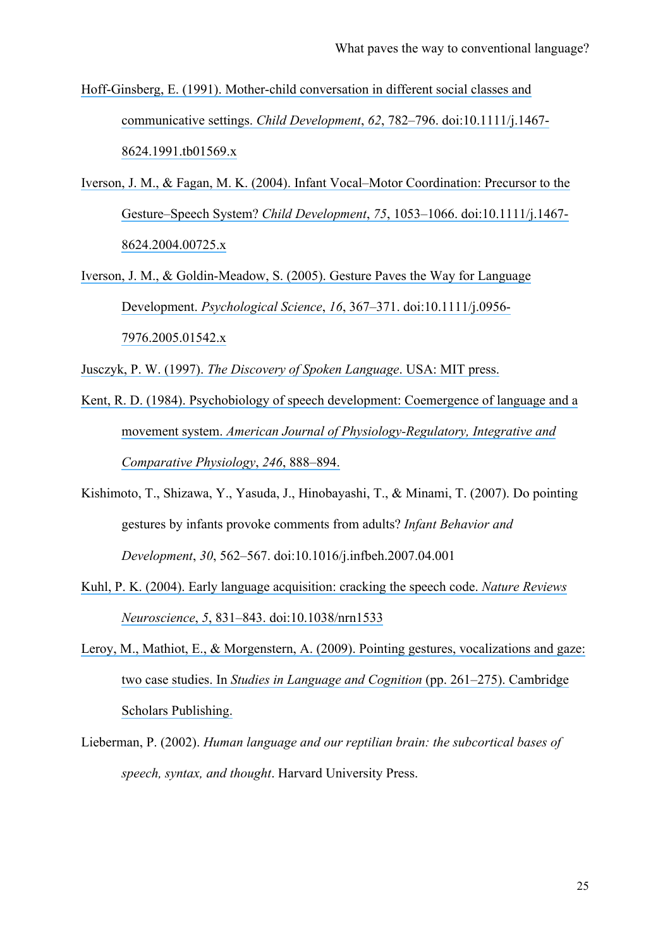[Hoff-Ginsberg, E. \(1991\). Mother-child conversation in different social classes and](https://www.researchgate.net/publication/227843764_Mother-Child_Conversation_in_Different_Social_Classes_and_Communicative_Settings?el=1_x_8&enrichId=rgreq-2443db36-a843-4052-88c7-54897fb97819&enrichSource=Y292ZXJQYWdlOzI5MDQzNTkzMTtBUzozMTc4NzcwNDE3Mjk1NDRAMTQ1Mjc5OTIwMDM1MQ==)  communicative settings. *Child Development*, *62*[, 782–796. doi:10.1111/j.1467-](https://www.researchgate.net/publication/227843764_Mother-Child_Conversation_in_Different_Social_Classes_and_Communicative_Settings?el=1_x_8&enrichId=rgreq-2443db36-a843-4052-88c7-54897fb97819&enrichSource=Y292ZXJQYWdlOzI5MDQzNTkzMTtBUzozMTc4NzcwNDE3Mjk1NDRAMTQ1Mjc5OTIwMDM1MQ==) [8624.1991.tb01569.x](https://www.researchgate.net/publication/227843764_Mother-Child_Conversation_in_Different_Social_Classes_and_Communicative_Settings?el=1_x_8&enrichId=rgreq-2443db36-a843-4052-88c7-54897fb97819&enrichSource=Y292ZXJQYWdlOzI5MDQzNTkzMTtBUzozMTc4NzcwNDE3Mjk1NDRAMTQ1Mjc5OTIwMDM1MQ==)

- Iverson, J. M., & Fagan, M. K. (2004). [Infant Vocal–Motor Coordination: Precursor to the](https://www.researchgate.net/publication/8448455_Infant_Vocal-Motor_Coordination_Precursor_to_the_Gesture-Speech_System?el=1_x_8&enrichId=rgreq-2443db36-a843-4052-88c7-54897fb97819&enrichSource=Y292ZXJQYWdlOzI5MDQzNTkzMTtBUzozMTc4NzcwNDE3Mjk1NDRAMTQ1Mjc5OTIwMDM1MQ==) Gesture–Speech System? *Child Development*, *75*[, 1053–1066. doi:10.1111/j.1467-](https://www.researchgate.net/publication/8448455_Infant_Vocal-Motor_Coordination_Precursor_to_the_Gesture-Speech_System?el=1_x_8&enrichId=rgreq-2443db36-a843-4052-88c7-54897fb97819&enrichSource=Y292ZXJQYWdlOzI5MDQzNTkzMTtBUzozMTc4NzcwNDE3Mjk1NDRAMTQ1Mjc5OTIwMDM1MQ==) [8624.2004.00725.x](https://www.researchgate.net/publication/8448455_Infant_Vocal-Motor_Coordination_Precursor_to_the_Gesture-Speech_System?el=1_x_8&enrichId=rgreq-2443db36-a843-4052-88c7-54897fb97819&enrichSource=Y292ZXJQYWdlOzI5MDQzNTkzMTtBUzozMTc4NzcwNDE3Mjk1NDRAMTQ1Mjc5OTIwMDM1MQ==)
- [Iverson, J. M., & Goldin-Meadow, S. \(2005\). Gesture Paves the Way for Language](https://www.researchgate.net/publication/7868096_Gesture_paves_the_way_for_language_development?el=1_x_8&enrichId=rgreq-2443db36-a843-4052-88c7-54897fb97819&enrichSource=Y292ZXJQYWdlOzI5MDQzNTkzMTtBUzozMTc4NzcwNDE3Mjk1NDRAMTQ1Mjc5OTIwMDM1MQ==)  Development. *Psychological Science*, *16*[, 367–371. doi:10.1111/j.0956-](https://www.researchgate.net/publication/7868096_Gesture_paves_the_way_for_language_development?el=1_x_8&enrichId=rgreq-2443db36-a843-4052-88c7-54897fb97819&enrichSource=Y292ZXJQYWdlOzI5MDQzNTkzMTtBUzozMTc4NzcwNDE3Mjk1NDRAMTQ1Mjc5OTIwMDM1MQ==) [7976.2005.01542.x](https://www.researchgate.net/publication/7868096_Gesture_paves_the_way_for_language_development?el=1_x_8&enrichId=rgreq-2443db36-a843-4052-88c7-54897fb97819&enrichSource=Y292ZXJQYWdlOzI5MDQzNTkzMTtBUzozMTc4NzcwNDE3Mjk1NDRAMTQ1Mjc5OTIwMDM1MQ==)

Jusczyk, P. W. (1997). *[The Discovery of Spoken Language](https://www.researchgate.net/publication/243662755_The_Discovery_of_Spoken_Language?el=1_x_8&enrichId=rgreq-2443db36-a843-4052-88c7-54897fb97819&enrichSource=Y292ZXJQYWdlOzI5MDQzNTkzMTtBUzozMTc4NzcwNDE3Mjk1NDRAMTQ1Mjc5OTIwMDM1MQ==)*. USA: MIT press.

- [Kent, R. D. \(1984\). Psychobiology of speech development: Coemergence of language and a](https://www.researchgate.net/publication/16457157_Psychobiology_of_speech_development_Coemergence_of_language_and_a_movement_system?el=1_x_8&enrichId=rgreq-2443db36-a843-4052-88c7-54897fb97819&enrichSource=Y292ZXJQYWdlOzI5MDQzNTkzMTtBUzozMTc4NzcwNDE3Mjk1NDRAMTQ1Mjc5OTIwMDM1MQ==) movement system. *[American Journal of Physiology-Regulatory, Integrative and](https://www.researchgate.net/publication/16457157_Psychobiology_of_speech_development_Coemergence_of_language_and_a_movement_system?el=1_x_8&enrichId=rgreq-2443db36-a843-4052-88c7-54897fb97819&enrichSource=Y292ZXJQYWdlOzI5MDQzNTkzMTtBUzozMTc4NzcwNDE3Mjk1NDRAMTQ1Mjc5OTIwMDM1MQ==)  [Comparative Physiology](https://www.researchgate.net/publication/16457157_Psychobiology_of_speech_development_Coemergence_of_language_and_a_movement_system?el=1_x_8&enrichId=rgreq-2443db36-a843-4052-88c7-54897fb97819&enrichSource=Y292ZXJQYWdlOzI5MDQzNTkzMTtBUzozMTc4NzcwNDE3Mjk1NDRAMTQ1Mjc5OTIwMDM1MQ==)*, *246*, 888–894.
- Kishimoto, T., Shizawa, Y., Yasuda, J., Hinobayashi, T., & Minami, T. (2007). Do pointing gestures by infants provoke comments from adults? *Infant Behavior and Development*, *30*, 562–567. doi:10.1016/j.infbeh.2007.04.001
- [Kuhl, P. K. \(2004\). Early language acquisition: cracking the speech code.](https://www.researchgate.net/publication/8219951_Early_Language_Acquisition_Cracking_the_Speech_Code?el=1_x_8&enrichId=rgreq-2443db36-a843-4052-88c7-54897fb97819&enrichSource=Y292ZXJQYWdlOzI5MDQzNTkzMTtBUzozMTc4NzcwNDE3Mjk1NDRAMTQ1Mjc5OTIwMDM1MQ==) *Nature Reviews Neuroscience*, *5*[, 831–843. doi:10.1038/nrn1533](https://www.researchgate.net/publication/8219951_Early_Language_Acquisition_Cracking_the_Speech_Code?el=1_x_8&enrichId=rgreq-2443db36-a843-4052-88c7-54897fb97819&enrichSource=Y292ZXJQYWdlOzI5MDQzNTkzMTtBUzozMTc4NzcwNDE3Mjk1NDRAMTQ1Mjc5OTIwMDM1MQ==)
- [Leroy, M., Mathiot, E., & Morgenstern, A. \(2009\). Pointing gestures, vocalizations and](https://www.researchgate.net/publication/32223063_Pointing_gestures_vocalizations_and_gaze_two_case_studies?el=1_x_8&enrichId=rgreq-2443db36-a843-4052-88c7-54897fb97819&enrichSource=Y292ZXJQYWdlOzI5MDQzNTkzMTtBUzozMTc4NzcwNDE3Mjk1NDRAMTQ1Mjc5OTIwMDM1MQ==) gaze: two case studies. In *[Studies in Language and Cognition](https://www.researchgate.net/publication/32223063_Pointing_gestures_vocalizations_and_gaze_two_case_studies?el=1_x_8&enrichId=rgreq-2443db36-a843-4052-88c7-54897fb97819&enrichSource=Y292ZXJQYWdlOzI5MDQzNTkzMTtBUzozMTc4NzcwNDE3Mjk1NDRAMTQ1Mjc5OTIwMDM1MQ==)* (pp. 261–275). Cambridge [Scholars Publishing.](https://www.researchgate.net/publication/32223063_Pointing_gestures_vocalizations_and_gaze_two_case_studies?el=1_x_8&enrichId=rgreq-2443db36-a843-4052-88c7-54897fb97819&enrichSource=Y292ZXJQYWdlOzI5MDQzNTkzMTtBUzozMTc4NzcwNDE3Mjk1NDRAMTQ1Mjc5OTIwMDM1MQ==)
- Lieberman, P. (2002). *Human language and our reptilian brain: the subcortical bases of speech, syntax, and thought*. Harvard University Press.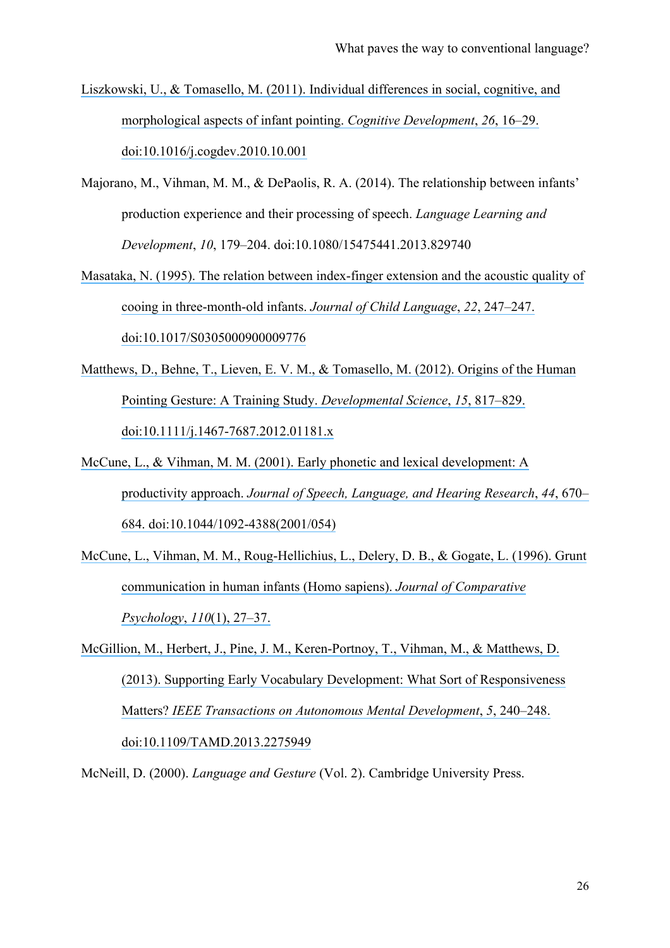- [Liszkowski, U., & Tomasello, M. \(2011\). Individual differences in social, cognitive, and](https://www.researchgate.net/publication/251599799_Individual_differences_in_social_cognitive_and_morphological_aspects_of_infant_pointing?el=1_x_8&enrichId=rgreq-2443db36-a843-4052-88c7-54897fb97819&enrichSource=Y292ZXJQYWdlOzI5MDQzNTkzMTtBUzozMTc4NzcwNDE3Mjk1NDRAMTQ1Mjc5OTIwMDM1MQ==)  [morphological aspects of infant pointing.](https://www.researchgate.net/publication/251599799_Individual_differences_in_social_cognitive_and_morphological_aspects_of_infant_pointing?el=1_x_8&enrichId=rgreq-2443db36-a843-4052-88c7-54897fb97819&enrichSource=Y292ZXJQYWdlOzI5MDQzNTkzMTtBUzozMTc4NzcwNDE3Mjk1NDRAMTQ1Mjc5OTIwMDM1MQ==) *Cognitive Development*, *26*, 16–29. [doi:10.1016/j.cogdev.2010.10.001](https://www.researchgate.net/publication/251599799_Individual_differences_in_social_cognitive_and_morphological_aspects_of_infant_pointing?el=1_x_8&enrichId=rgreq-2443db36-a843-4052-88c7-54897fb97819&enrichSource=Y292ZXJQYWdlOzI5MDQzNTkzMTtBUzozMTc4NzcwNDE3Mjk1NDRAMTQ1Mjc5OTIwMDM1MQ==)
- Majorano, M., Vihman, M. M., & DePaolis, R. A. (2014). The relationship between infants' production experience and their processing of speech. *Language Learning and Development*, *10*, 179–204. doi:10.1080/15475441.2013.829740
- [Masataka, N. \(1995\). The relation between index-finger extension and the acoustic quality of](https://www.researchgate.net/publication/14649248_The_relation_between_index-finger_extension_and_the_acoustic_quality_of_cooing_in_3-month-old_infants?el=1_x_8&enrichId=rgreq-2443db36-a843-4052-88c7-54897fb97819&enrichSource=Y292ZXJQYWdlOzI5MDQzNTkzMTtBUzozMTc4NzcwNDE3Mjk1NDRAMTQ1Mjc5OTIwMDM1MQ==)  [cooing in three-month-old infants.](https://www.researchgate.net/publication/14649248_The_relation_between_index-finger_extension_and_the_acoustic_quality_of_cooing_in_3-month-old_infants?el=1_x_8&enrichId=rgreq-2443db36-a843-4052-88c7-54897fb97819&enrichSource=Y292ZXJQYWdlOzI5MDQzNTkzMTtBUzozMTc4NzcwNDE3Mjk1NDRAMTQ1Mjc5OTIwMDM1MQ==) *Journal of Child Language*, *22*, 247–247. [doi:10.1017/S0305000900009776](https://www.researchgate.net/publication/14649248_The_relation_between_index-finger_extension_and_the_acoustic_quality_of_cooing_in_3-month-old_infants?el=1_x_8&enrichId=rgreq-2443db36-a843-4052-88c7-54897fb97819&enrichSource=Y292ZXJQYWdlOzI5MDQzNTkzMTtBUzozMTc4NzcwNDE3Mjk1NDRAMTQ1Mjc5OTIwMDM1MQ==)
- Matthews, D., Behne, T., Lieven, E. V. M., & Tomasello, M. (2012). Origins of the Human [Pointing Gesture: A Training Study.](https://www.researchgate.net/publication/232736653_Origins_of_the_human_pointing_gesture_a_training_study?el=1_x_8&enrichId=rgreq-2443db36-a843-4052-88c7-54897fb97819&enrichSource=Y292ZXJQYWdlOzI5MDQzNTkzMTtBUzozMTc4NzcwNDE3Mjk1NDRAMTQ1Mjc5OTIwMDM1MQ==) *Developmental Science*, *15*, 817–829. [doi:10.1111/j.1467-7687.2012.01181.x](https://www.researchgate.net/publication/232736653_Origins_of_the_human_pointing_gesture_a_training_study?el=1_x_8&enrichId=rgreq-2443db36-a843-4052-88c7-54897fb97819&enrichSource=Y292ZXJQYWdlOzI5MDQzNTkzMTtBUzozMTc4NzcwNDE3Mjk1NDRAMTQ1Mjc5OTIwMDM1MQ==)
- [McCune, L., & Vihman, M. M. \(2001\). Early phonetic and lexical development: A](https://www.researchgate.net/publication/11931512_Early_Phonetic_and_Lexical_Development_A_Productivity_Approach?el=1_x_8&enrichId=rgreq-2443db36-a843-4052-88c7-54897fb97819&enrichSource=Y292ZXJQYWdlOzI5MDQzNTkzMTtBUzozMTc4NzcwNDE3Mjk1NDRAMTQ1Mjc5OTIwMDM1MQ==)  productivity approach. *[Journal of Speech, Language, and Hearing Research](https://www.researchgate.net/publication/11931512_Early_Phonetic_and_Lexical_Development_A_Productivity_Approach?el=1_x_8&enrichId=rgreq-2443db36-a843-4052-88c7-54897fb97819&enrichSource=Y292ZXJQYWdlOzI5MDQzNTkzMTtBUzozMTc4NzcwNDE3Mjk1NDRAMTQ1Mjc5OTIwMDM1MQ==)*, *44*, 670– [684. doi:10.1044/1092-4388\(2001/054\)](https://www.researchgate.net/publication/11931512_Early_Phonetic_and_Lexical_Development_A_Productivity_Approach?el=1_x_8&enrichId=rgreq-2443db36-a843-4052-88c7-54897fb97819&enrichSource=Y292ZXJQYWdlOzI5MDQzNTkzMTtBUzozMTc4NzcwNDE3Mjk1NDRAMTQ1Mjc5OTIwMDM1MQ==)
- [McCune, L., Vihman, M. M., Roug-Hellichius, L., Delery, D. B., & Gogate, L. \(1996\). Grunt](https://www.researchgate.net/publication/14352976_Grunt_Communication_in_Human_Infants_Homo_sapiens?el=1_x_8&enrichId=rgreq-2443db36-a843-4052-88c7-54897fb97819&enrichSource=Y292ZXJQYWdlOzI5MDQzNTkzMTtBUzozMTc4NzcwNDE3Mjk1NDRAMTQ1Mjc5OTIwMDM1MQ==)  [communication in human infants \(Homo sapiens\).](https://www.researchgate.net/publication/14352976_Grunt_Communication_in_Human_Infants_Homo_sapiens?el=1_x_8&enrichId=rgreq-2443db36-a843-4052-88c7-54897fb97819&enrichSource=Y292ZXJQYWdlOzI5MDQzNTkzMTtBUzozMTc4NzcwNDE3Mjk1NDRAMTQ1Mjc5OTIwMDM1MQ==) *Journal of Comparative [Psychology](https://www.researchgate.net/publication/14352976_Grunt_Communication_in_Human_Infants_Homo_sapiens?el=1_x_8&enrichId=rgreq-2443db36-a843-4052-88c7-54897fb97819&enrichSource=Y292ZXJQYWdlOzI5MDQzNTkzMTtBUzozMTc4NzcwNDE3Mjk1NDRAMTQ1Mjc5OTIwMDM1MQ==)*, *110*(1), 27–37.
- [McGillion, M., Herbert, J., Pine, J. M., Keren-Portnoy, T., Vihman, M., & Matthews, D.](https://www.researchgate.net/publication/260662819_Supporting_Early_Vocabulary_Development_What_Sort_of_Responsiveness_Matters?el=1_x_8&enrichId=rgreq-2443db36-a843-4052-88c7-54897fb97819&enrichSource=Y292ZXJQYWdlOzI5MDQzNTkzMTtBUzozMTc4NzcwNDE3Mjk1NDRAMTQ1Mjc5OTIwMDM1MQ==)  [\(2013\). Supporting Early Vocabulary Development: What Sort of Responsiveness](https://www.researchgate.net/publication/260662819_Supporting_Early_Vocabulary_Development_What_Sort_of_Responsiveness_Matters?el=1_x_8&enrichId=rgreq-2443db36-a843-4052-88c7-54897fb97819&enrichSource=Y292ZXJQYWdlOzI5MDQzNTkzMTtBUzozMTc4NzcwNDE3Mjk1NDRAMTQ1Mjc5OTIwMDM1MQ==) Matters? *[IEEE Transactions on Autonomous Mental Development](https://www.researchgate.net/publication/260662819_Supporting_Early_Vocabulary_Development_What_Sort_of_Responsiveness_Matters?el=1_x_8&enrichId=rgreq-2443db36-a843-4052-88c7-54897fb97819&enrichSource=Y292ZXJQYWdlOzI5MDQzNTkzMTtBUzozMTc4NzcwNDE3Mjk1NDRAMTQ1Mjc5OTIwMDM1MQ==)*, *5*, 240–248. [doi:10.1109/TAMD.2013.2275949](https://www.researchgate.net/publication/260662819_Supporting_Early_Vocabulary_Development_What_Sort_of_Responsiveness_Matters?el=1_x_8&enrichId=rgreq-2443db36-a843-4052-88c7-54897fb97819&enrichSource=Y292ZXJQYWdlOzI5MDQzNTkzMTtBUzozMTc4NzcwNDE3Mjk1NDRAMTQ1Mjc5OTIwMDM1MQ==)

McNeill, D. (2000). *Language and Gesture* (Vol. 2). Cambridge University Press.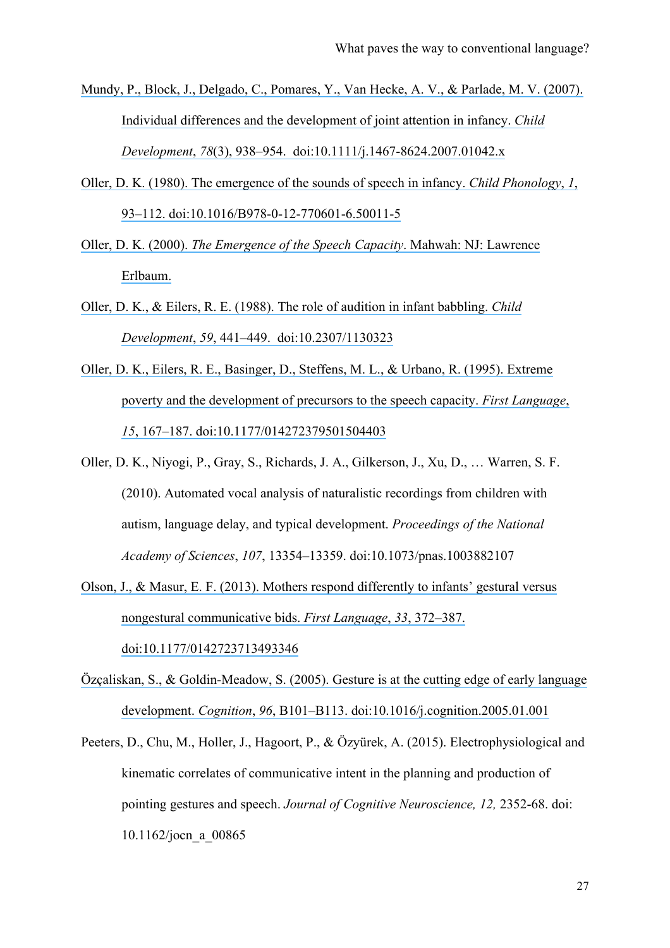- [Mundy, P., Block, J., Delgado, C., Pomares, Y., Van Hecke, A. V., & Parlade, M. V. \(2007\).](https://www.researchgate.net/publication/6315662_Individual_Differences_and_the_Development_of_Joint_Attention_in_Infancy?el=1_x_8&enrichId=rgreq-2443db36-a843-4052-88c7-54897fb97819&enrichSource=Y292ZXJQYWdlOzI5MDQzNTkzMTtBUzozMTc4NzcwNDE3Mjk1NDRAMTQ1Mjc5OTIwMDM1MQ==)  [Individual differences and the development of joint attention in infancy.](https://www.researchgate.net/publication/6315662_Individual_Differences_and_the_Development_of_Joint_Attention_in_Infancy?el=1_x_8&enrichId=rgreq-2443db36-a843-4052-88c7-54897fb97819&enrichSource=Y292ZXJQYWdlOzI5MDQzNTkzMTtBUzozMTc4NzcwNDE3Mjk1NDRAMTQ1Mjc5OTIwMDM1MQ==) *Child Development*, *78*[\(3\), 938–954. doi:10.1111/j.1467-8624.2007.01042.x](https://www.researchgate.net/publication/6315662_Individual_Differences_and_the_Development_of_Joint_Attention_in_Infancy?el=1_x_8&enrichId=rgreq-2443db36-a843-4052-88c7-54897fb97819&enrichSource=Y292ZXJQYWdlOzI5MDQzNTkzMTtBUzozMTc4NzcwNDE3Mjk1NDRAMTQ1Mjc5OTIwMDM1MQ==)
- [Oller, D. K. \(1980\). The emergence of the sounds of speech in infancy.](https://www.researchgate.net/publication/243764025_The_emergence_of_sounds_of_speech_in_infancy?el=1_x_8&enrichId=rgreq-2443db36-a843-4052-88c7-54897fb97819&enrichSource=Y292ZXJQYWdlOzI5MDQzNTkzMTtBUzozMTc4NzcwNDE3Mjk1NDRAMTQ1Mjc5OTIwMDM1MQ==) *Child Phonology*, *1*, [93–112. doi:10.1016/B978-0-12-770601-6.50011-5](https://www.researchgate.net/publication/243764025_The_emergence_of_sounds_of_speech_in_infancy?el=1_x_8&enrichId=rgreq-2443db36-a843-4052-88c7-54897fb97819&enrichSource=Y292ZXJQYWdlOzI5MDQzNTkzMTtBUzozMTc4NzcwNDE3Mjk1NDRAMTQ1Mjc5OTIwMDM1MQ==)
- Oller, D. K. (2000). *[The Emergence of the Speech Capacity](https://www.researchgate.net/publication/208033902_The_Emergence_of_Speech_Capacity?el=1_x_8&enrichId=rgreq-2443db36-a843-4052-88c7-54897fb97819&enrichSource=Y292ZXJQYWdlOzI5MDQzNTkzMTtBUzozMTc4NzcwNDE3Mjk1NDRAMTQ1Mjc5OTIwMDM1MQ==)*. Mahwah: NJ: Lawrence [Erlbaum.](https://www.researchgate.net/publication/208033902_The_Emergence_of_Speech_Capacity?el=1_x_8&enrichId=rgreq-2443db36-a843-4052-88c7-54897fb97819&enrichSource=Y292ZXJQYWdlOzI5MDQzNTkzMTtBUzozMTc4NzcwNDE3Mjk1NDRAMTQ1Mjc5OTIwMDM1MQ==)
- [Oller, D. K., & Eilers, R. E. \(1988\). The role of audition in infant babbling.](https://www.researchgate.net/publication/19796182_The_Role_of_Audition_in_Infant_Babbling?el=1_x_8&enrichId=rgreq-2443db36-a843-4052-88c7-54897fb97819&enrichSource=Y292ZXJQYWdlOzI5MDQzNTkzMTtBUzozMTc4NzcwNDE3Mjk1NDRAMTQ1Mjc5OTIwMDM1MQ==) *Child Development*, *59*[, 441–449. doi:10.2307/1130323](https://www.researchgate.net/publication/19796182_The_Role_of_Audition_in_Infant_Babbling?el=1_x_8&enrichId=rgreq-2443db36-a843-4052-88c7-54897fb97819&enrichSource=Y292ZXJQYWdlOzI5MDQzNTkzMTtBUzozMTc4NzcwNDE3Mjk1NDRAMTQ1Mjc5OTIwMDM1MQ==)
- [Oller, D. K., Eilers, R. E., Basinger, D., Steffens, M. L., & Urbano, R. \(1995\). Extreme](https://www.researchgate.net/publication/249744947_Extreme_poverty_and_the_development_of_precursors_to_the_speech_capacity?el=1_x_8&enrichId=rgreq-2443db36-a843-4052-88c7-54897fb97819&enrichSource=Y292ZXJQYWdlOzI5MDQzNTkzMTtBUzozMTc4NzcwNDE3Mjk1NDRAMTQ1Mjc5OTIwMDM1MQ==)  [poverty and the development of precursors to the speech capacity.](https://www.researchgate.net/publication/249744947_Extreme_poverty_and_the_development_of_precursors_to_the_speech_capacity?el=1_x_8&enrichId=rgreq-2443db36-a843-4052-88c7-54897fb97819&enrichSource=Y292ZXJQYWdlOzI5MDQzNTkzMTtBUzozMTc4NzcwNDE3Mjk1NDRAMTQ1Mjc5OTIwMDM1MQ==) *First Language*, *15*[, 167–187. doi:10.1177/014272379501504403](https://www.researchgate.net/publication/249744947_Extreme_poverty_and_the_development_of_precursors_to_the_speech_capacity?el=1_x_8&enrichId=rgreq-2443db36-a843-4052-88c7-54897fb97819&enrichSource=Y292ZXJQYWdlOzI5MDQzNTkzMTtBUzozMTc4NzcwNDE3Mjk1NDRAMTQ1Mjc5OTIwMDM1MQ==)
- Oller, D. K., Niyogi, P., Gray, S., Richards, J. A., Gilkerson, J., Xu, D., … Warren, S. F. (2010). Automated vocal analysis of naturalistic recordings from children with autism, language delay, and typical development. *Proceedings of the National Academy of Sciences*, *107*, 13354–13359. doi:10.1073/pnas.1003882107
- [Olson, J., & Masur, E. F. \(2013\). Mothers respond differently to infants' gestural versus](https://www.researchgate.net/publication/258136997_Mothers_respond_differently_to_infants)  [nongestural communicative bids.](https://www.researchgate.net/publication/258136997_Mothers_respond_differently_to_infants) *First Language*, *33*, 372–387. [doi:10.1177/0142723713493346](https://www.researchgate.net/publication/258136997_Mothers_respond_differently_to_infants)
- [Özçaliskan, S., & Goldin-Meadow, S. \(2005\). Gesture is at the cutting edge of early language](https://www.researchgate.net/publication/7746876_Gesture_is_at_the_cutting_edge_of_language_development?el=1_x_8&enrichId=rgreq-2443db36-a843-4052-88c7-54897fb97819&enrichSource=Y292ZXJQYWdlOzI5MDQzNTkzMTtBUzozMTc4NzcwNDE3Mjk1NDRAMTQ1Mjc5OTIwMDM1MQ==) development. *Cognition*, *96*[, B101–B113. doi:10.1016/j.cognition.2005.01.001](https://www.researchgate.net/publication/7746876_Gesture_is_at_the_cutting_edge_of_language_development?el=1_x_8&enrichId=rgreq-2443db36-a843-4052-88c7-54897fb97819&enrichSource=Y292ZXJQYWdlOzI5MDQzNTkzMTtBUzozMTc4NzcwNDE3Mjk1NDRAMTQ1Mjc5OTIwMDM1MQ==)
- Peeters, D., Chu, M., Holler, J., Hagoort, P., & Özyürek, A. (2015). Electrophysiological and kinematic correlates of communicative intent in the planning and production of pointing gestures and speech. *Journal of Cognitive Neuroscience, 12,* 2352-68. doi: 10.1162/jocn\_a\_00865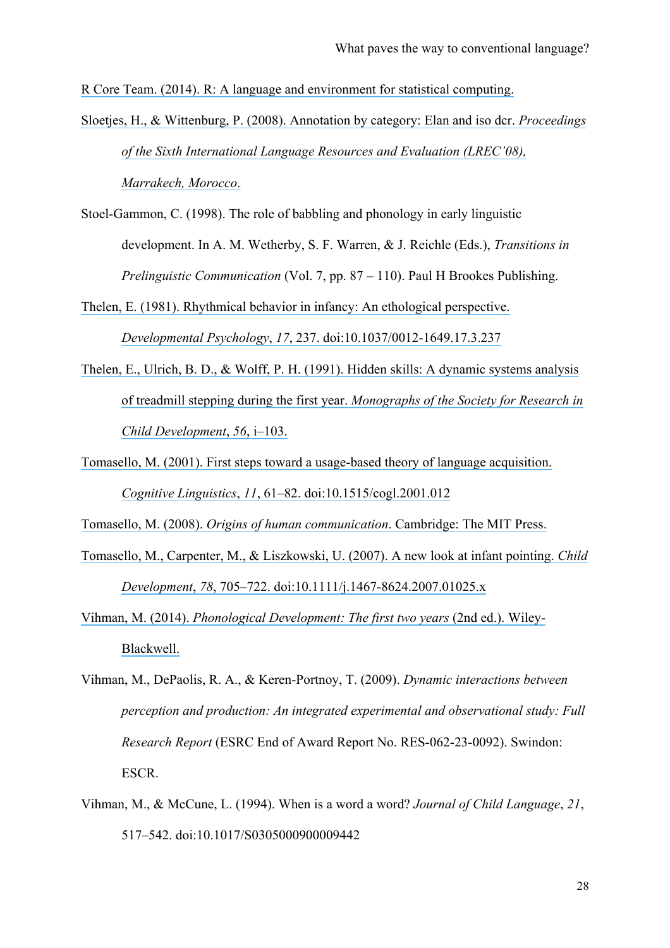[R Core Team. \(2014\). R: A language and environment for statistical computing.](https://www.researchgate.net/publication/221943681_R_Core_Team_R_A_Language_and_Environment_for_Statistical_Computing_2014?el=1_x_8&enrichId=rgreq-2443db36-a843-4052-88c7-54897fb97819&enrichSource=Y292ZXJQYWdlOzI5MDQzNTkzMTtBUzozMTc4NzcwNDE3Mjk1NDRAMTQ1Mjc5OTIwMDM1MQ==)

[Sloetjes, H., & Wittenburg, P. \(2008\). Annotation by category: Elan and iso dcr.](https://www.researchgate.net/publication/220746017_Annotation_by_category_-_ELAN_and_ISO_DCR?el=1_x_8&enrichId=rgreq-2443db36-a843-4052-88c7-54897fb97819&enrichSource=Y292ZXJQYWdlOzI5MDQzNTkzMTtBUzozMTc4NzcwNDE3Mjk1NDRAMTQ1Mjc5OTIwMDM1MQ==) *Proceedings [of the Sixth International Language Resources and Evaluation \(LREC'08\),](https://www.researchgate.net/publication/220746017_Annotation_by_category_-_ELAN_and_ISO_DCR?el=1_x_8&enrichId=rgreq-2443db36-a843-4052-88c7-54897fb97819&enrichSource=Y292ZXJQYWdlOzI5MDQzNTkzMTtBUzozMTc4NzcwNDE3Mjk1NDRAMTQ1Mjc5OTIwMDM1MQ==)  [Marrakech, Morocco](https://www.researchgate.net/publication/220746017_Annotation_by_category_-_ELAN_and_ISO_DCR?el=1_x_8&enrichId=rgreq-2443db36-a843-4052-88c7-54897fb97819&enrichSource=Y292ZXJQYWdlOzI5MDQzNTkzMTtBUzozMTc4NzcwNDE3Mjk1NDRAMTQ1Mjc5OTIwMDM1MQ==)*.

Stoel-Gammon, C. (1998). The role of babbling and phonology in early linguistic development. In A. M. Wetherby, S. F. Warren, & J. Reichle (Eds.), *Transitions in Prelinguistic Communication* (Vol. 7, pp. 87 – 110). Paul H Brookes Publishing.

[Thelen, E. \(1981\). Rhythmical behavior in infancy: An ethological perspective.](https://www.researchgate.net/publication/232537241_Rhythmical_behavior_in_infancy_An_ethological_perspective_Developmental_Psychology_17_237-257?el=1_x_8&enrichId=rgreq-2443db36-a843-4052-88c7-54897fb97819&enrichSource=Y292ZXJQYWdlOzI5MDQzNTkzMTtBUzozMTc4NzcwNDE3Mjk1NDRAMTQ1Mjc5OTIwMDM1MQ==) 

*Developmental Psychology*, *17*[, 237. doi:10.1037/0012-1649.17.3.237](https://www.researchgate.net/publication/232537241_Rhythmical_behavior_in_infancy_An_ethological_perspective_Developmental_Psychology_17_237-257?el=1_x_8&enrichId=rgreq-2443db36-a843-4052-88c7-54897fb97819&enrichSource=Y292ZXJQYWdlOzI5MDQzNTkzMTtBUzozMTc4NzcwNDE3Mjk1NDRAMTQ1Mjc5OTIwMDM1MQ==)

- [Thelen, E., Ulrich, B. D., & Wolff, P. H. \(1991\). Hidden skills: A dynamic systems analysis](https://www.researchgate.net/publication/21234126_Hidden_Skills_A_Dynamic_Systems_Analysis_of_Treadmill_Stepping_during_the_First_Year?el=1_x_8&enrichId=rgreq-2443db36-a843-4052-88c7-54897fb97819&enrichSource=Y292ZXJQYWdlOzI5MDQzNTkzMTtBUzozMTc4NzcwNDE3Mjk1NDRAMTQ1Mjc5OTIwMDM1MQ==)  of treadmill stepping during the first year. *[Monographs of the Society for Research in](https://www.researchgate.net/publication/21234126_Hidden_Skills_A_Dynamic_Systems_Analysis_of_Treadmill_Stepping_during_the_First_Year?el=1_x_8&enrichId=rgreq-2443db36-a843-4052-88c7-54897fb97819&enrichSource=Y292ZXJQYWdlOzI5MDQzNTkzMTtBUzozMTc4NzcwNDE3Mjk1NDRAMTQ1Mjc5OTIwMDM1MQ==)  [Child Development](https://www.researchgate.net/publication/21234126_Hidden_Skills_A_Dynamic_Systems_Analysis_of_Treadmill_Stepping_during_the_First_Year?el=1_x_8&enrichId=rgreq-2443db36-a843-4052-88c7-54897fb97819&enrichSource=Y292ZXJQYWdlOzI5MDQzNTkzMTtBUzozMTc4NzcwNDE3Mjk1NDRAMTQ1Mjc5OTIwMDM1MQ==)*, *56*, i–103.
- [Tomasello, M. \(2001\). First steps toward a usage-based theory of language acquisition.](https://www.researchgate.net/publication/279573194_First_Steps_toward_a_Usage-Based_Theory_of_Language_Acquisition?el=1_x_8&enrichId=rgreq-2443db36-a843-4052-88c7-54897fb97819&enrichSource=Y292ZXJQYWdlOzI5MDQzNTkzMTtBUzozMTc4NzcwNDE3Mjk1NDRAMTQ1Mjc5OTIwMDM1MQ==) *Cognitive Linguistics*, *11*[, 61–82. doi:10.1515/cogl.2001.012](https://www.researchgate.net/publication/279573194_First_Steps_toward_a_Usage-Based_Theory_of_Language_Acquisition?el=1_x_8&enrichId=rgreq-2443db36-a843-4052-88c7-54897fb97819&enrichSource=Y292ZXJQYWdlOzI5MDQzNTkzMTtBUzozMTc4NzcwNDE3Mjk1NDRAMTQ1Mjc5OTIwMDM1MQ==)

Tomasello, M. (2008). *[Origins of human communication](https://www.researchgate.net/publication/40853522_The_Origins_of_Human_Communication?el=1_x_8&enrichId=rgreq-2443db36-a843-4052-88c7-54897fb97819&enrichSource=Y292ZXJQYWdlOzI5MDQzNTkzMTtBUzozMTc4NzcwNDE3Mjk1NDRAMTQ1Mjc5OTIwMDM1MQ==)*. Cambridge: The MIT Press.

- [Tomasello, M., Carpenter, M., & Liszkowski, U. \(2007\). A new look at infant pointing.](https://www.researchgate.net/publication/6315644_A_New_Look_at_Infant_Pointing?el=1_x_8&enrichId=rgreq-2443db36-a843-4052-88c7-54897fb97819&enrichSource=Y292ZXJQYWdlOzI5MDQzNTkzMTtBUzozMTc4NzcwNDE3Mjk1NDRAMTQ1Mjc5OTIwMDM1MQ==) *Child Development*, *78*[, 705–722. doi:10.1111/j.1467-8624.2007.01025.x](https://www.researchgate.net/publication/6315644_A_New_Look_at_Infant_Pointing?el=1_x_8&enrichId=rgreq-2443db36-a843-4052-88c7-54897fb97819&enrichSource=Y292ZXJQYWdlOzI5MDQzNTkzMTtBUzozMTc4NzcwNDE3Mjk1NDRAMTQ1Mjc5OTIwMDM1MQ==)
- Vihman, M. (2014). *[Phonological Development: The first two](https://www.researchgate.net/publication/208034262_Phonological_Development?el=1_x_8&enrichId=rgreq-2443db36-a843-4052-88c7-54897fb97819&enrichSource=Y292ZXJQYWdlOzI5MDQzNTkzMTtBUzozMTc4NzcwNDE3Mjk1NDRAMTQ1Mjc5OTIwMDM1MQ==) years* (2nd ed.). Wiley-[Blackwell.](https://www.researchgate.net/publication/208034262_Phonological_Development?el=1_x_8&enrichId=rgreq-2443db36-a843-4052-88c7-54897fb97819&enrichSource=Y292ZXJQYWdlOzI5MDQzNTkzMTtBUzozMTc4NzcwNDE3Mjk1NDRAMTQ1Mjc5OTIwMDM1MQ==)
- Vihman, M., DePaolis, R. A., & Keren-Portnoy, T. (2009). *Dynamic interactions between perception and production: An integrated experimental and observational study: Full Research Report* (ESRC End of Award Report No. RES-062-23-0092). Swindon: ESCR.
- Vihman, M., & McCune, L. (1994). When is a word a word? *Journal of Child Language*, *21*, 517–542. doi:10.1017/S0305000900009442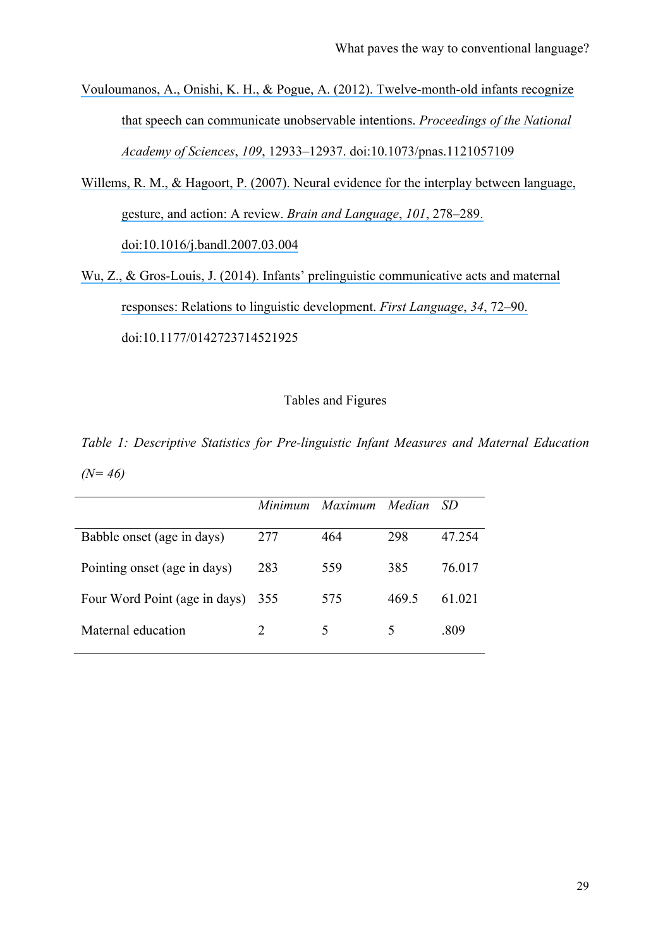[Vouloumanos, A., Onishi, K. H., & Pogue, A. \(2012\). Twelve-month-old infants recognize](https://www.researchgate.net/publication/229554148_Twelve-month-old_infants_recognize_that_speech_can_communicate_unobservable_intentions?el=1_x_8&enrichId=rgreq-2443db36-a843-4052-88c7-54897fb97819&enrichSource=Y292ZXJQYWdlOzI5MDQzNTkzMTtBUzozMTc4NzcwNDE3Mjk1NDRAMTQ1Mjc5OTIwMDM1MQ==)  that speech can [communicate unobservable intentions.](https://www.researchgate.net/publication/229554148_Twelve-month-old_infants_recognize_that_speech_can_communicate_unobservable_intentions?el=1_x_8&enrichId=rgreq-2443db36-a843-4052-88c7-54897fb97819&enrichSource=Y292ZXJQYWdlOzI5MDQzNTkzMTtBUzozMTc4NzcwNDE3Mjk1NDRAMTQ1Mjc5OTIwMDM1MQ==) *Proceedings of the National Academy of Sciences*, *109*[, 12933–12937. doi:10.1073/pnas.1121057109](https://www.researchgate.net/publication/229554148_Twelve-month-old_infants_recognize_that_speech_can_communicate_unobservable_intentions?el=1_x_8&enrichId=rgreq-2443db36-a843-4052-88c7-54897fb97819&enrichSource=Y292ZXJQYWdlOzI5MDQzNTkzMTtBUzozMTc4NzcwNDE3Mjk1NDRAMTQ1Mjc5OTIwMDM1MQ==)

- Willems, R. M., & Hagoort, P. (2007). Neural evidence for the interplay between language, [gesture, and action: A review.](https://www.researchgate.net/publication/6406653_Neural_evidence_for_the_interplay_between_language_gesture_and_action_A_review?el=1_x_8&enrichId=rgreq-2443db36-a843-4052-88c7-54897fb97819&enrichSource=Y292ZXJQYWdlOzI5MDQzNTkzMTtBUzozMTc4NzcwNDE3Mjk1NDRAMTQ1Mjc5OTIwMDM1MQ==) *Brain and Language*, *101*, 278–289. [doi:10.1016/j.bandl.2007.03.004](https://www.researchgate.net/publication/6406653_Neural_evidence_for_the_interplay_between_language_gesture_and_action_A_review?el=1_x_8&enrichId=rgreq-2443db36-a843-4052-88c7-54897fb97819&enrichSource=Y292ZXJQYWdlOzI5MDQzNTkzMTtBUzozMTc4NzcwNDE3Mjk1NDRAMTQ1Mjc5OTIwMDM1MQ==)
- [Wu, Z., & Gros-Louis, J. \(2014\). Infants' prelinguistic communicative acts and maternal](https://www.researchgate.net/publication/260126540_Infants)  [responses: Relations to linguistic development.](https://www.researchgate.net/publication/260126540_Infants) *First Language*, *34*, 72–90. doi:10.1177/0142723714521925

## Tables and Figures

*Table 1: Descriptive Statistics for Pre-linguistic Infant Measures and Maternal Education (N= 46)*

|                               |                             | Minimum Maximum Median |       | -SD    |
|-------------------------------|-----------------------------|------------------------|-------|--------|
| Babble onset (age in days)    | 277                         | 464                    | 298   | 47.254 |
| Pointing onset (age in days)  | 283                         | 559                    | 385   | 76 017 |
| Four Word Point (age in days) | 355                         | 575                    | 469.5 | 61.021 |
| Maternal education            | $\mathcal{D}_{\mathcal{L}}$ | 5                      | ↖     | -809   |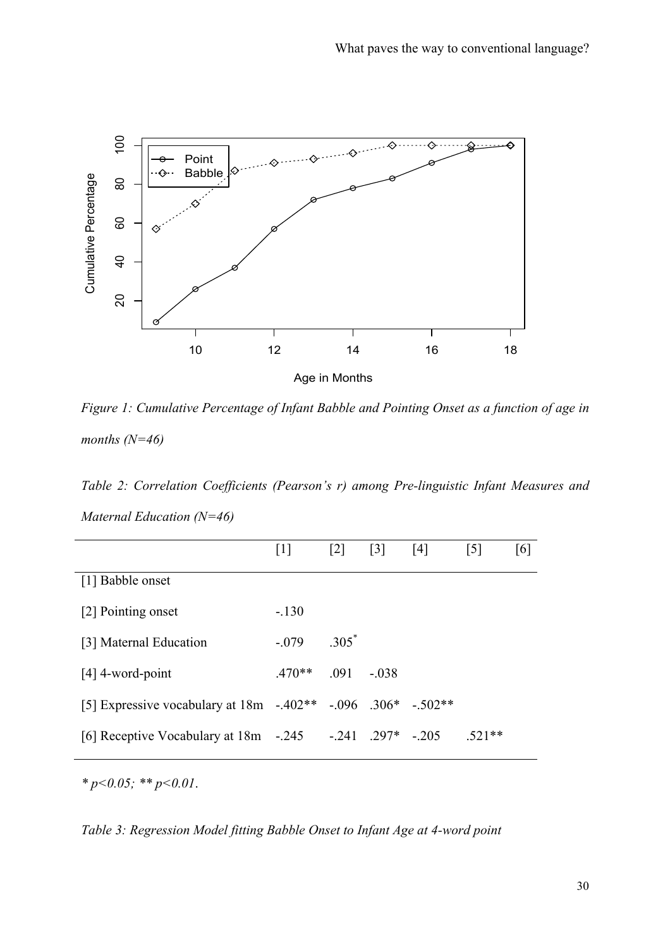

*Figure 1: Cumulative Percentage of Infant Babble and Pointing Onset as a function of age in months (N=46)*

*Table 2: Correlation Coefficients (Pearson's r) among Pre-linguistic Infant Measures and Maternal Education (N=46)*

|                                                              | $[1]$    | $\lceil 2 \rceil$ | $\begin{bmatrix} 3 \end{bmatrix}$ | [4] | $\lceil 5 \rceil$ | [6] |
|--------------------------------------------------------------|----------|-------------------|-----------------------------------|-----|-------------------|-----|
| [1] Babble onset                                             |          |                   |                                   |     |                   |     |
| [2] Pointing onset                                           | $-.130$  |                   |                                   |     |                   |     |
| [3] Maternal Education                                       | $-.079$  | $.305^*$          |                                   |     |                   |     |
| $[4]$ 4-word-point                                           | $.470**$ | $.091 - .038$     |                                   |     |                   |     |
| [5] Expressive vocabulary at 18m -.402** -.096 .306* -.502** |          |                   |                                   |     |                   |     |
| [6] Receptive Vocabulary at 18m -.245 -.241 .297* -.205      |          |                   |                                   |     | $.521**$          |     |

*\* p<0.05; \*\* p<0.01*.

*Table 3: Regression Model fitting Babble Onset to Infant Age at 4-word point*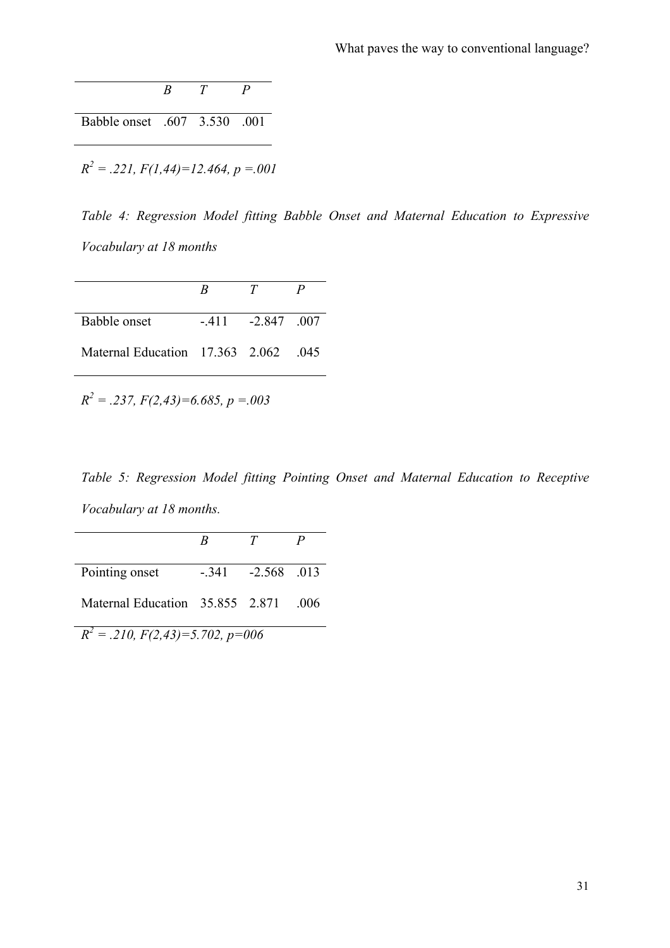|                                              | $\overline{B}$ | T | P |
|----------------------------------------------|----------------|---|---|
| Babble onset .607 3.530 .001                 |                |   |   |
| $R^2 = .221$ , $F(1,44)=12.464$ , $p = .001$ |                |   |   |

*Table 4: Regression Model fitting Babble Onset and Maternal Education to Expressive Vocabulary at 18 months*

|                                      | R | T                 |  |
|--------------------------------------|---|-------------------|--|
| Babble onset                         |   | $-411 - 2847 007$ |  |
| Maternal Education 17.363 2.062 .045 |   |                   |  |

 $R^2 = .237$ ,  $F(2,43)=6.685$ ,  $p = .003$ 

*Table 5: Regression Model fitting Pointing Onset and Maternal Education to Receptive Vocabulary at 18 months.*

|                                          | К | T                 | P   |
|------------------------------------------|---|-------------------|-----|
| Pointing onset                           |   | $-341 - 2568$ 013 |     |
| Maternal Education 35.855 2.871          |   |                   | 006 |
| $R^2 = .210$ , $F(2,43)=5.702$ , $p=006$ |   |                   |     |